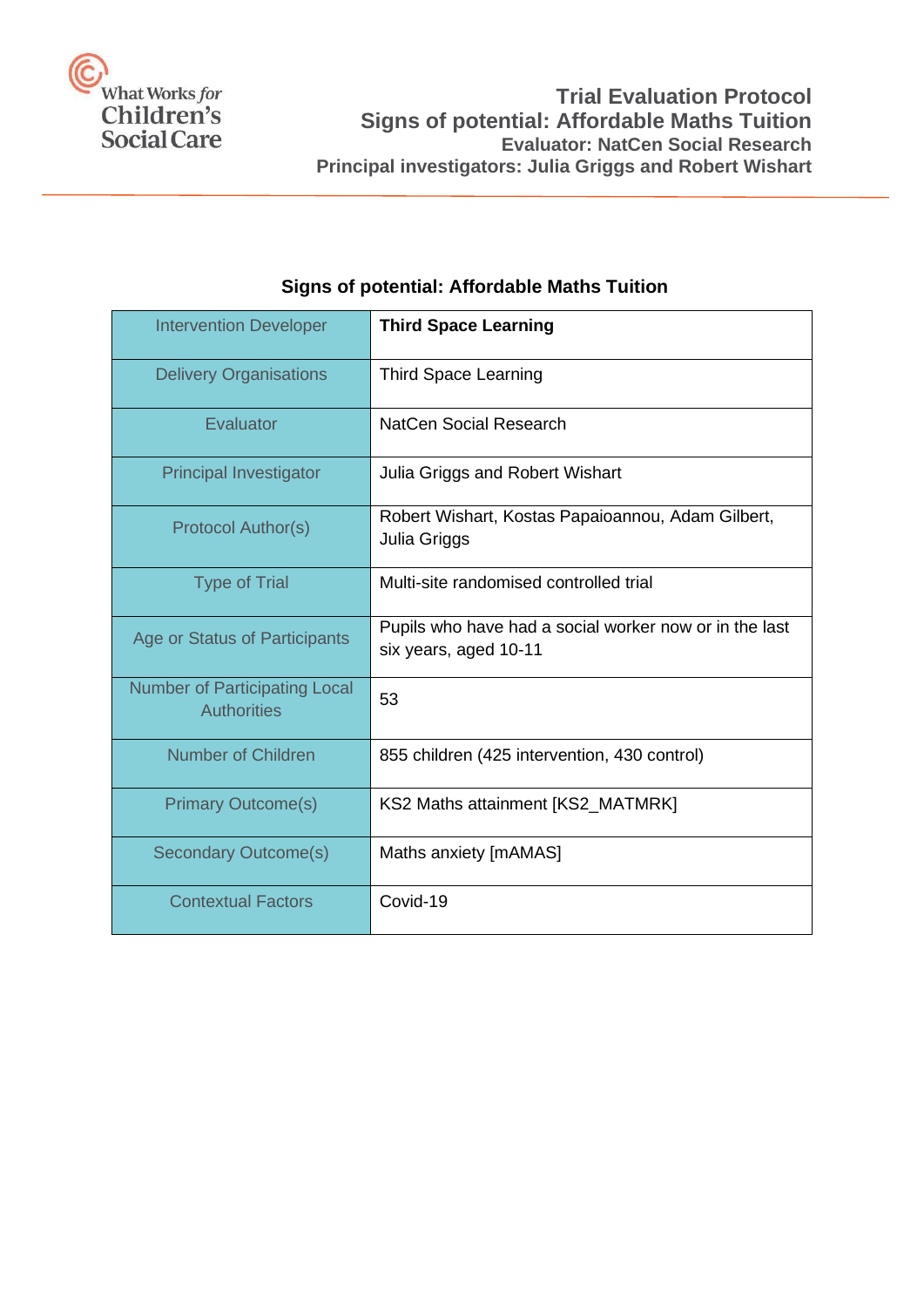

| <b>Intervention Developer</b>                              | <b>Third Space Learning</b>                                                     |
|------------------------------------------------------------|---------------------------------------------------------------------------------|
| <b>Delivery Organisations</b>                              | <b>Third Space Learning</b>                                                     |
| Evaluator                                                  | NatCen Social Research                                                          |
| <b>Principal Investigator</b>                              | Julia Griggs and Robert Wishart                                                 |
| <b>Protocol Author(s)</b>                                  | Robert Wishart, Kostas Papaioannou, Adam Gilbert,<br>Julia Griggs               |
| <b>Type of Trial</b>                                       | Multi-site randomised controlled trial                                          |
| Age or Status of Participants                              | Pupils who have had a social worker now or in the last<br>six years, aged 10-11 |
| <b>Number of Participating Local</b><br><b>Authorities</b> | 53                                                                              |
| <b>Number of Children</b>                                  | 855 children (425 intervention, 430 control)                                    |
| <b>Primary Outcome(s)</b>                                  | KS2 Maths attainment [KS2_MATMRK]                                               |
| <b>Secondary Outcome(s)</b>                                | Maths anxiety [mAMAS]                                                           |
| <b>Contextual Factors</b>                                  | Covid-19                                                                        |

## **Signs of potential: Affordable Maths Tuition**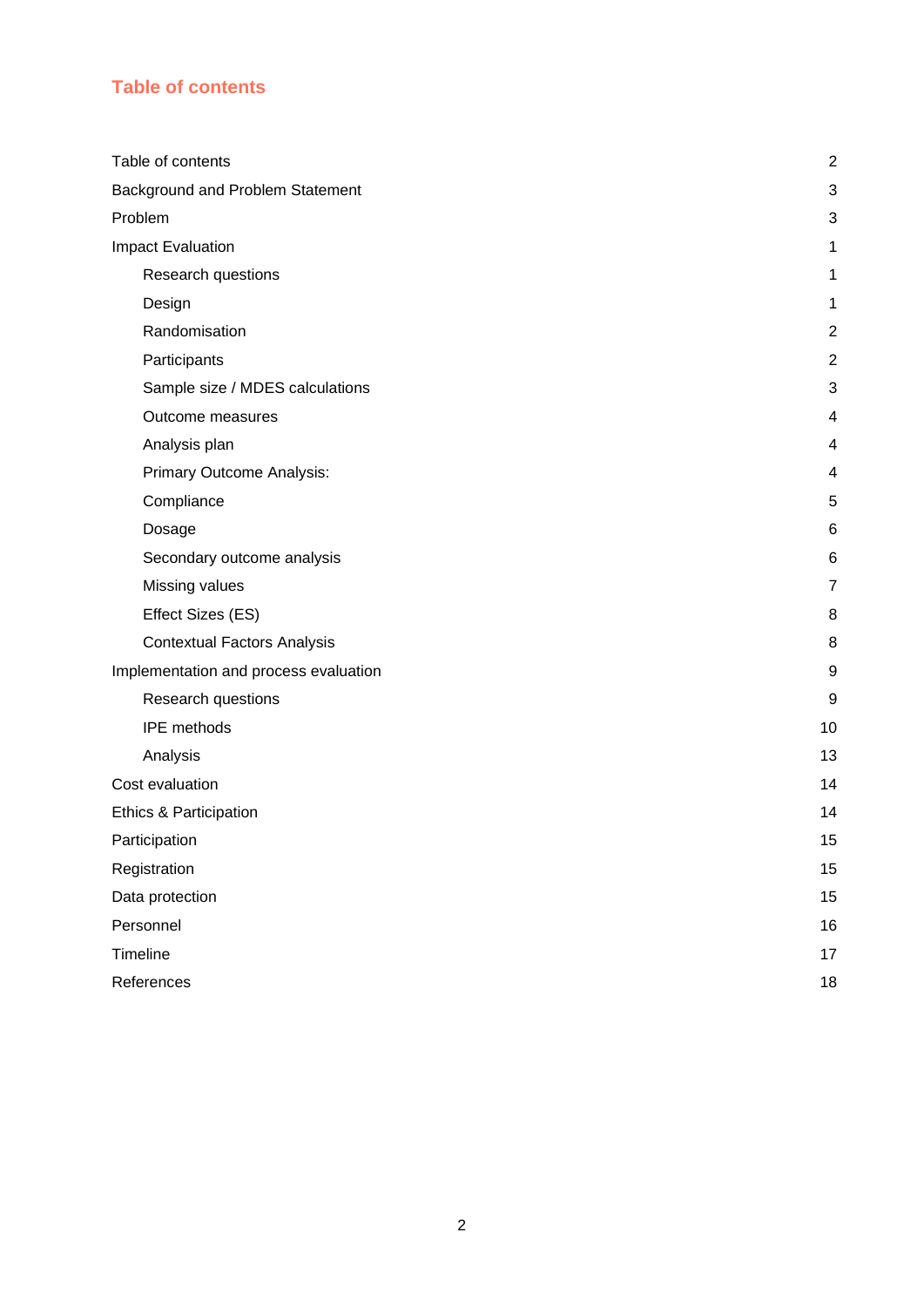## <span id="page-1-0"></span>**Table of contents**

| Table of contents                     | $\overline{2}$ |
|---------------------------------------|----------------|
| Background and Problem Statement      |                |
| Problem                               |                |
| Impact Evaluation                     | 1              |
| Research questions                    | 1              |
| Design                                | 1              |
| Randomisation                         | $\overline{2}$ |
| Participants                          | $\overline{2}$ |
| Sample size / MDES calculations       | 3              |
| Outcome measures                      | 4              |
| Analysis plan                         | 4              |
| Primary Outcome Analysis:             | 4              |
| Compliance                            | 5              |
| Dosage                                | 6              |
| Secondary outcome analysis            | 6              |
| Missing values                        | $\overline{7}$ |
| Effect Sizes (ES)                     | 8              |
| <b>Contextual Factors Analysis</b>    | 8              |
| Implementation and process evaluation | 9              |
| Research questions                    | 9              |
| <b>IPE</b> methods                    | 10             |
| Analysis                              | 13             |
| Cost evaluation                       | 14             |
| Ethics & Participation                | 14             |
| Participation                         | 15             |
| Registration                          | 15             |
| Data protection                       | 15             |
| Personnel                             | 16             |
| Timeline                              | 17             |
| References                            | 18             |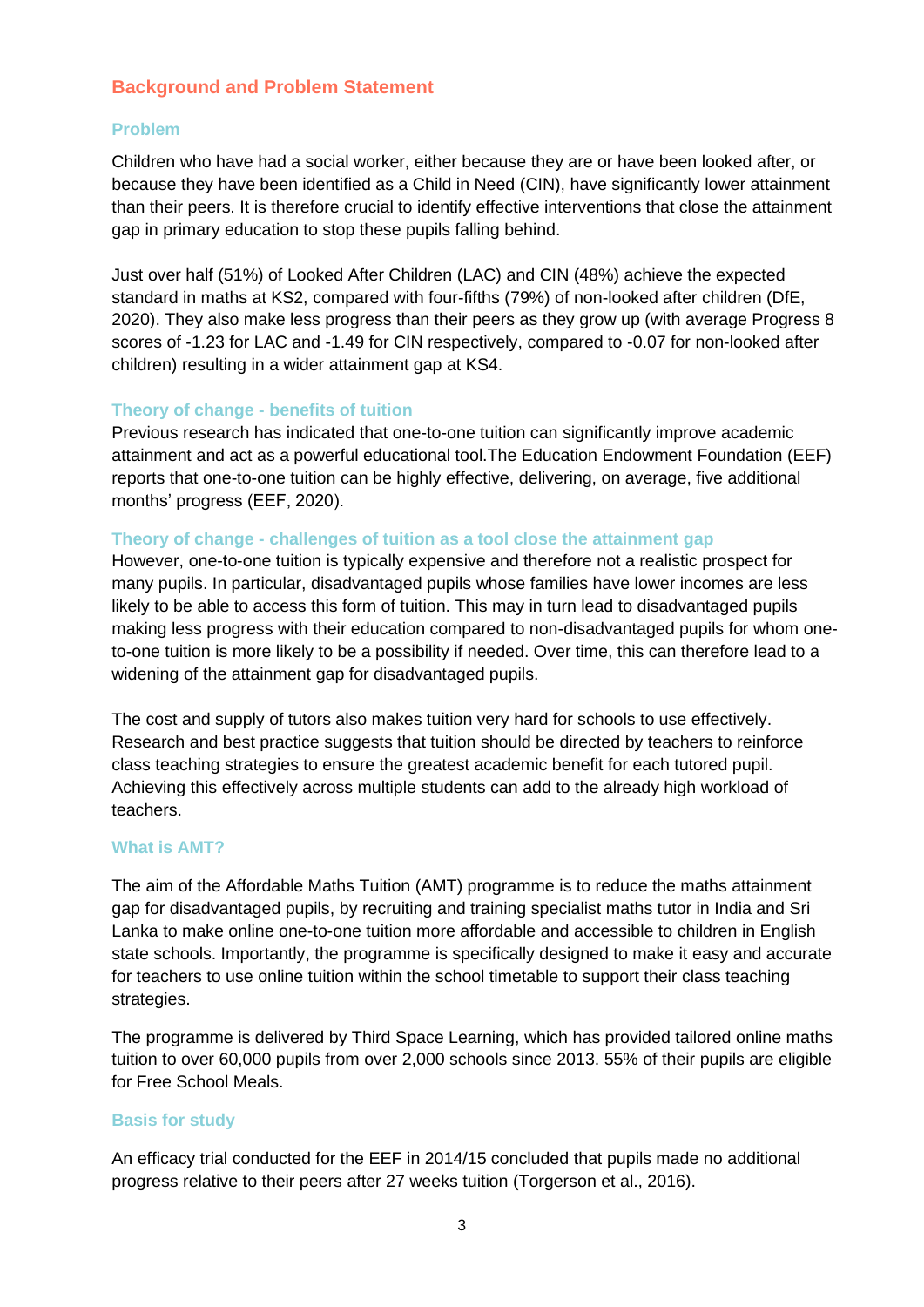## <span id="page-2-0"></span>**Background and Problem Statement**

## <span id="page-2-1"></span>**Problem**

Children who have had a social worker, either because they are or have been looked after, or because they have been identified as a Child in Need (CIN), have significantly lower attainment than their peers. It is therefore crucial to identify effective interventions that close the attainment gap in primary education to stop these pupils falling behind.

Just over half (51%) of Looked After Children (LAC) and CIN (48%) achieve the expected standard in maths at KS2, compared with four-fifths (79%) of non-looked after children (DfE, 2020). They also make less progress than their peers as they grow up (with average Progress 8 scores of -1.23 for LAC and -1.49 for CIN respectively, compared to -0.07 for non-looked after children) resulting in a wider attainment gap at KS4.

## **Theory of change - benefits of tuition**

Previous research has indicated that one-to-one tuition can significantly improve academic attainment and act as a powerful educational tool.The Education Endowment Foundation (EEF) reports that one-to-one tuition can be highly effective, delivering, on average, five additional months' progress (EEF, 2020).

#### **Theory of change - challenges of tuition as a tool close the attainment gap**

However, one-to-one tuition is typically expensive and therefore not a realistic prospect for many pupils. In particular, disadvantaged pupils whose families have lower incomes are less likely to be able to access this form of tuition. This may in turn lead to disadvantaged pupils making less progress with their education compared to non-disadvantaged pupils for whom oneto-one tuition is more likely to be a possibility if needed. Over time, this can therefore lead to a widening of the attainment gap for disadvantaged pupils.

The cost and supply of tutors also makes tuition very hard for schools to use effectively. Research and best practice suggests that tuition should be directed by teachers to reinforce class teaching strategies to ensure the greatest academic benefit for each tutored pupil. Achieving this effectively across multiple students can add to the already high workload of teachers.

#### **What is AMT?**

The aim of the Affordable Maths Tuition (AMT) programme is to reduce the maths attainment gap for disadvantaged pupils, by recruiting and training specialist maths tutor in India and Sri Lanka to make online one-to-one tuition more affordable and accessible to children in English state schools. Importantly, the programme is specifically designed to make it easy and accurate for teachers to use online tuition within the school timetable to support their class teaching strategies.

The programme is delivered by Third Space Learning, which has provided tailored online maths tuition to over 60,000 pupils from over 2,000 schools since 2013. 55% of their pupils are eligible for Free School Meals.

#### **Basis for study**

An efficacy trial conducted for the EEF in 2014/15 concluded that pupils made no additional progress relative to their peers after 27 weeks tuition (Torgerson et al., 2016).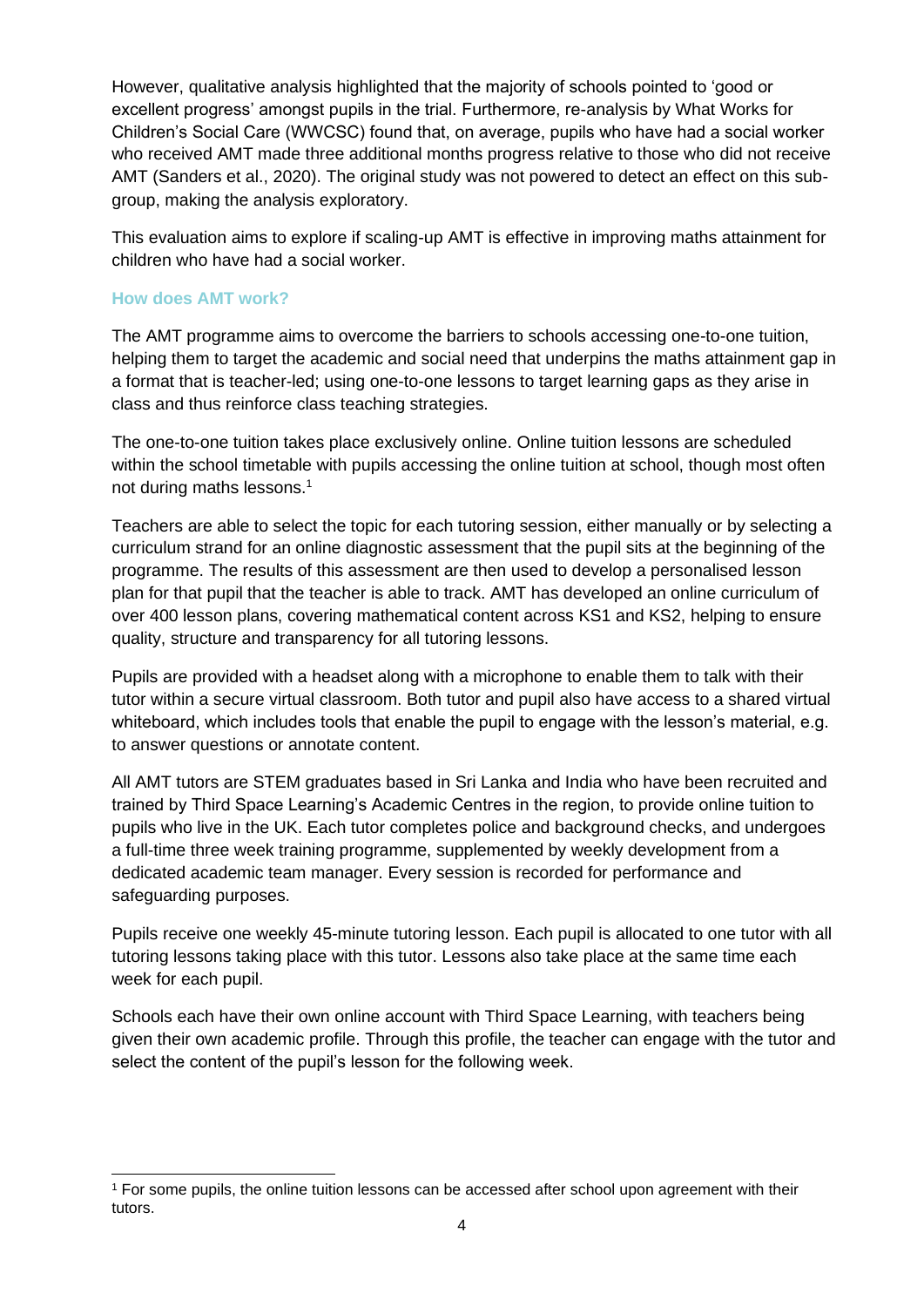However, qualitative analysis highlighted that the majority of schools pointed to 'good or excellent progress' amongst pupils in the trial. Furthermore, re-analysis by What Works for Children's Social Care (WWCSC) found that, on average, pupils who have had a social worker who received AMT made three additional months progress relative to those who did not receive AMT (Sanders et al., 2020). The original study was not powered to detect an effect on this subgroup, making the analysis exploratory.

This evaluation aims to explore if scaling-up AMT is effective in improving maths attainment for children who have had a social worker.

#### **How does AMT work?**

The AMT programme aims to overcome the barriers to schools accessing one-to-one tuition, helping them to target the academic and social need that underpins the maths attainment gap in a format that is teacher-led; using one-to-one lessons to target learning gaps as they arise in class and thus reinforce class teaching strategies.

The one-to-one tuition takes place exclusively online. Online tuition lessons are scheduled within the school timetable with pupils accessing the online tuition at school, though most often not during maths lessons.<sup>1</sup>

Teachers are able to select the topic for each tutoring session, either manually or by selecting a curriculum strand for an online diagnostic assessment that the pupil sits at the beginning of the programme. The results of this assessment are then used to develop a personalised lesson plan for that pupil that the teacher is able to track. AMT has developed an online curriculum of over 400 lesson plans, covering mathematical content across KS1 and KS2, helping to ensure quality, structure and transparency for all tutoring lessons.

Pupils are provided with a headset along with a microphone to enable them to talk with their tutor within a secure virtual classroom. Both tutor and pupil also have access to a shared virtual whiteboard, which includes tools that enable the pupil to engage with the lesson's material, e.g. to answer questions or annotate content.

All AMT tutors are STEM graduates based in Sri Lanka and India who have been recruited and trained by Third Space Learning's Academic Centres in the region, to provide online tuition to pupils who live in the UK. Each tutor completes police and background checks, and undergoes a full-time three week training programme, supplemented by weekly development from a dedicated academic team manager. Every session is recorded for performance and safeguarding purposes.

Pupils receive one weekly 45-minute tutoring lesson. Each pupil is allocated to one tutor with all tutoring lessons taking place with this tutor. Lessons also take place at the same time each week for each pupil.

Schools each have their own online account with Third Space Learning, with teachers being given their own academic profile. Through this profile, the teacher can engage with the tutor and select the content of the pupil's lesson for the following week.

<sup>&</sup>lt;sup>1</sup> For some pupils, the online tuition lessons can be accessed after school upon agreement with their tutors.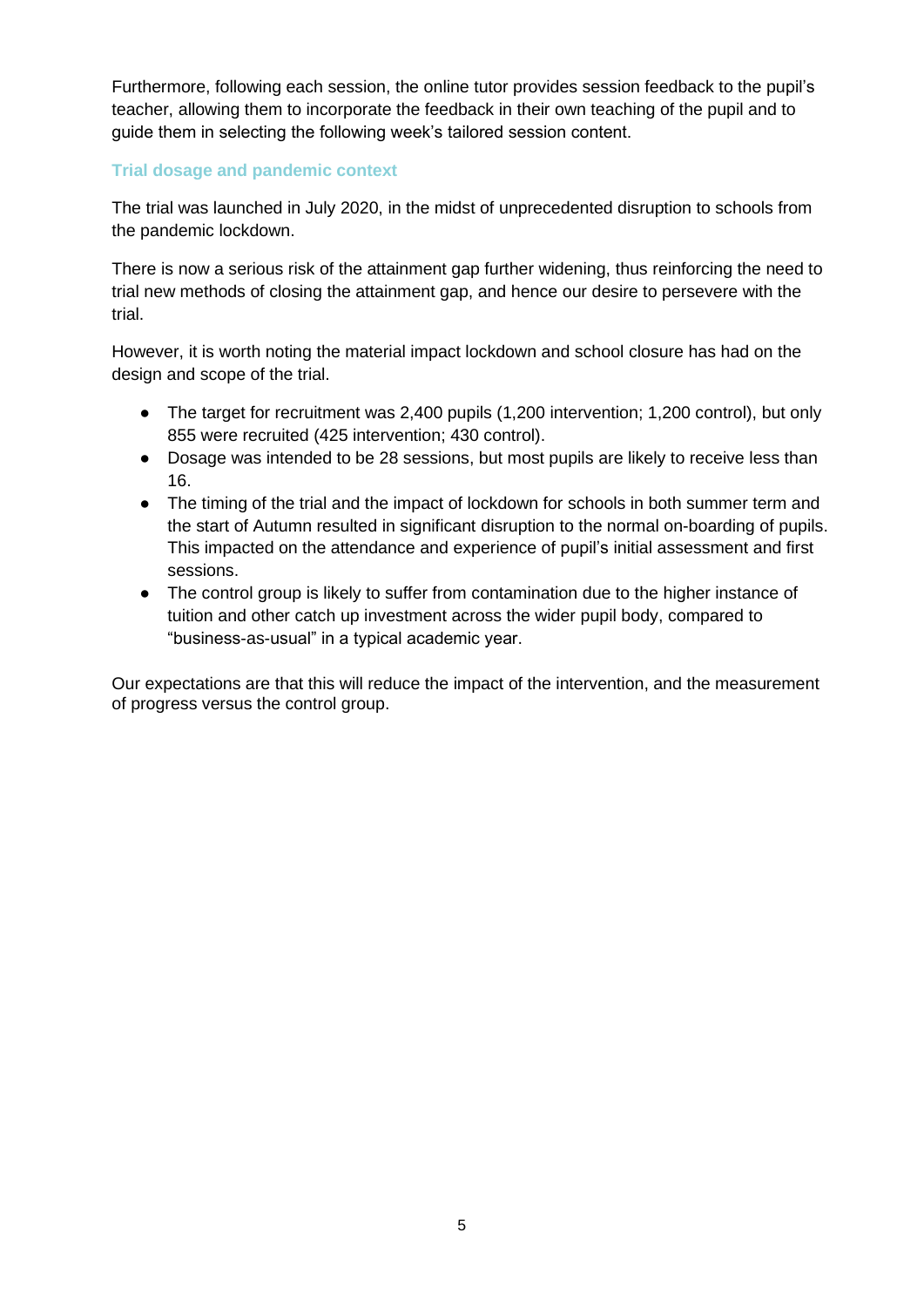Furthermore, following each session, the online tutor provides session feedback to the pupil's teacher, allowing them to incorporate the feedback in their own teaching of the pupil and to guide them in selecting the following week's tailored session content.

#### **Trial dosage and pandemic context**

The trial was launched in July 2020, in the midst of unprecedented disruption to schools from the pandemic lockdown.

There is now a serious risk of the attainment gap further widening, thus reinforcing the need to trial new methods of closing the attainment gap, and hence our desire to persevere with the trial.

However, it is worth noting the material impact lockdown and school closure has had on the design and scope of the trial.

- The target for recruitment was 2,400 pupils (1,200 intervention; 1,200 control), but only 855 were recruited (425 intervention; 430 control).
- Dosage was intended to be 28 sessions, but most pupils are likely to receive less than 16.
- The timing of the trial and the impact of lockdown for schools in both summer term and the start of Autumn resulted in significant disruption to the normal on-boarding of pupils. This impacted on the attendance and experience of pupil's initial assessment and first sessions.
- The control group is likely to suffer from contamination due to the higher instance of tuition and other catch up investment across the wider pupil body, compared to "business-as-usual" in a typical academic year.

Our expectations are that this will reduce the impact of the intervention, and the measurement of progress versus the control group.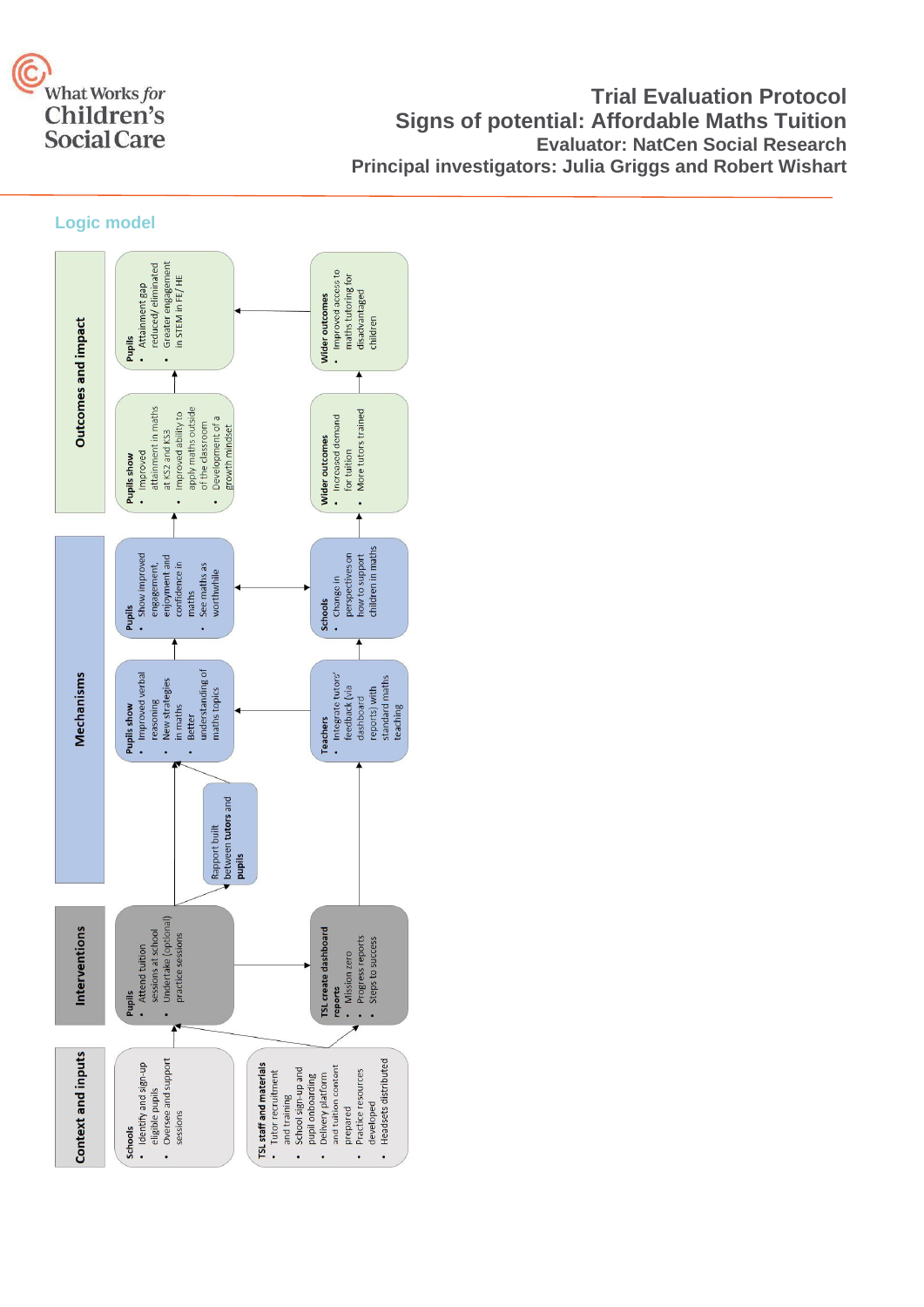

## **Trial Evaluation Protocol Signs of potential: Affordable Maths Tuition Evaluator: NatCen Social Research Principal investigators: Julia Griggs and Robert Wishart**

#### **Logic model**

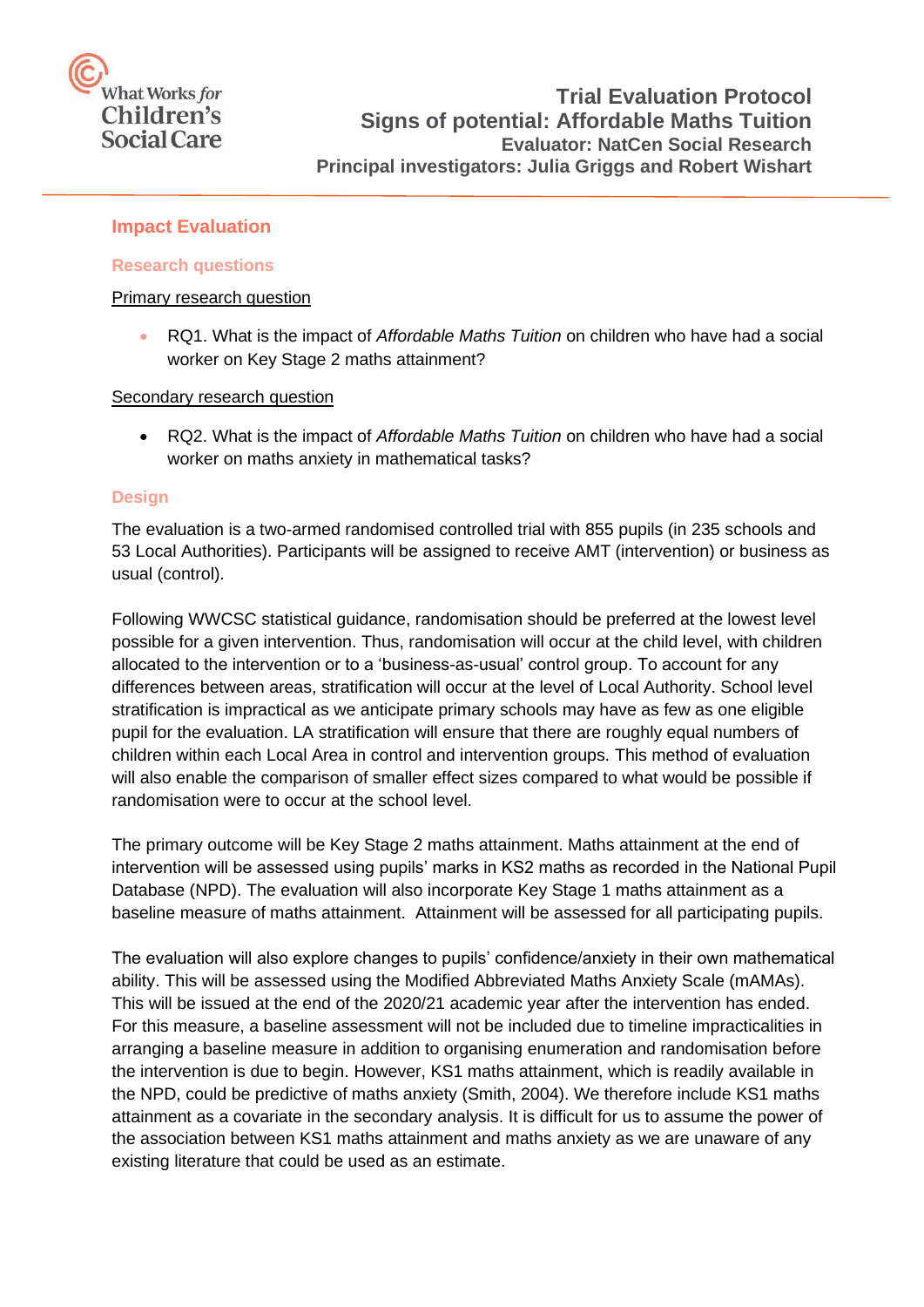# What Works for Children's **Social Care**

## <span id="page-6-0"></span>**Impact Evaluation**

#### <span id="page-6-1"></span>**Research questions**

#### Primary research question

• RQ1. What is the impact of *Affordable Maths Tuition* on children who have had a social worker on Key Stage 2 maths attainment?

Secondary research question

• RQ2. What is the impact of *Affordable Maths Tuition* on children who have had a social worker on maths anxiety in mathematical tasks?

#### <span id="page-6-2"></span>**Design**

The evaluation is a two-armed randomised controlled trial with 855 pupils (in 235 schools and 53 Local Authorities). Participants will be assigned to receive AMT (intervention) or business as usual (control).

Following WWCSC statistical guidance, randomisation should be preferred at the lowest level possible for a given intervention. Thus, randomisation will occur at the child level, with children allocated to the intervention or to a 'business-as-usual' control group. To account for any differences between areas, stratification will occur at the level of Local Authority. School level stratification is impractical as we anticipate primary schools may have as few as one eligible pupil for the evaluation. LA stratification will ensure that there are roughly equal numbers of children within each Local Area in control and intervention groups. This method of evaluation will also enable the comparison of smaller effect sizes compared to what would be possible if randomisation were to occur at the school level.

The primary outcome will be Key Stage 2 maths attainment. Maths attainment at the end of intervention will be assessed using pupils' marks in KS2 maths as recorded in the National Pupil Database (NPD). The evaluation will also incorporate Key Stage 1 maths attainment as a baseline measure of maths attainment. Attainment will be assessed for all participating pupils.

The evaluation will also explore changes to pupils' confidence/anxiety in their own mathematical ability. This will be assessed using the Modified Abbreviated Maths Anxiety Scale (mAMAs). This will be issued at the end of the 2020/21 academic year after the intervention has ended. For this measure, a baseline assessment will not be included due to timeline impracticalities in arranging a baseline measure in addition to organising enumeration and randomisation before the intervention is due to begin. However, KS1 maths attainment, which is readily available in the NPD, could be predictive of maths anxiety (Smith, 2004). We therefore include KS1 maths attainment as a covariate in the secondary analysis. It is difficult for us to assume the power of the association between KS1 maths attainment and maths anxiety as we are unaware of any existing literature that could be used as an estimate.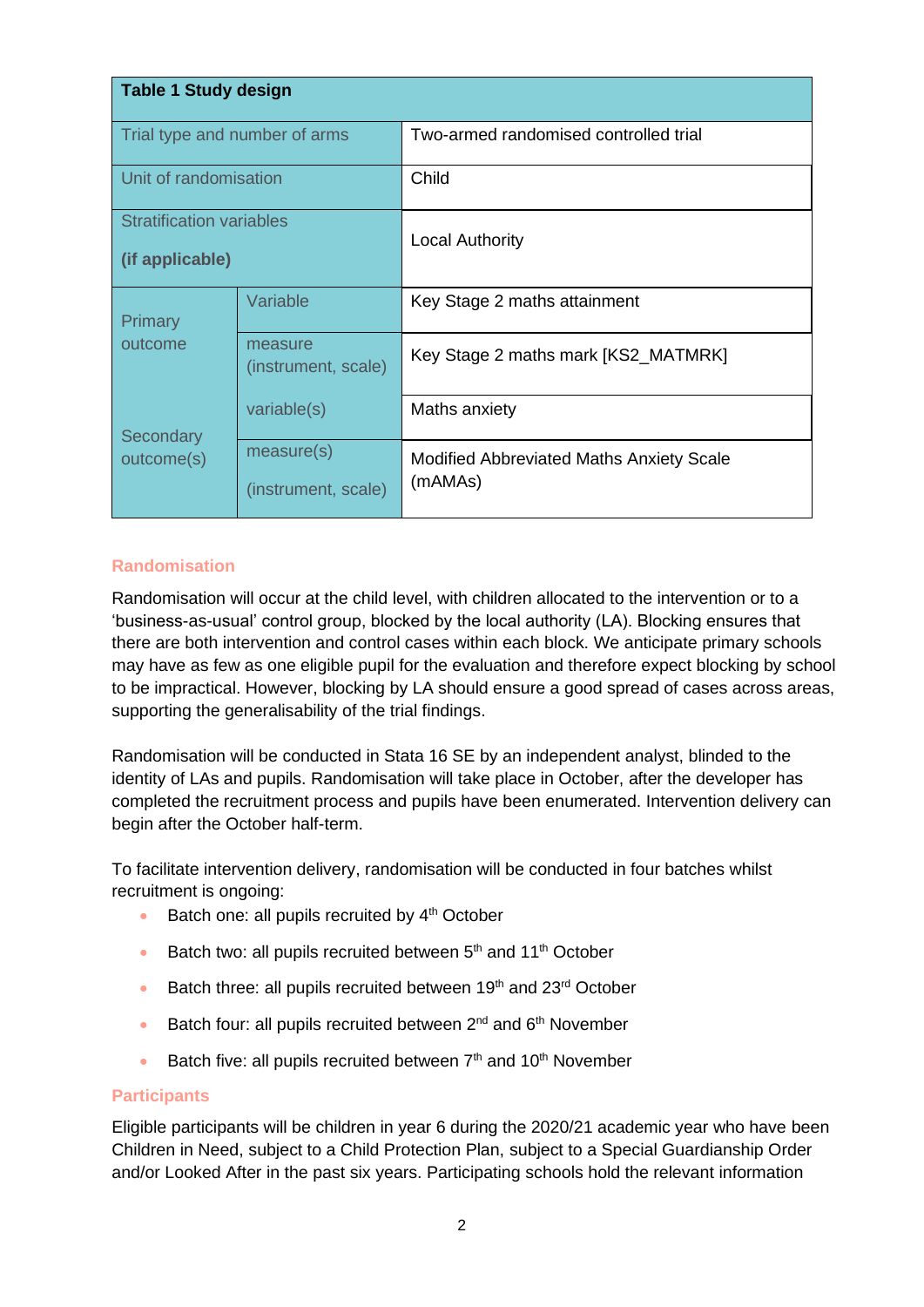| Table 1 Study design                               |                                   |                                                     |  |
|----------------------------------------------------|-----------------------------------|-----------------------------------------------------|--|
| Trial type and number of arms                      |                                   | Two-armed randomised controlled trial               |  |
| Unit of randomisation                              |                                   | Child                                               |  |
| <b>Stratification variables</b><br>(if applicable) |                                   | <b>Local Authority</b>                              |  |
| <b>Primary</b><br>outcome                          | Variable                          | Key Stage 2 maths attainment                        |  |
|                                                    | measure<br>(instrument, scale)    | Key Stage 2 maths mark [KS2_MATMRK]                 |  |
| Secondary                                          | variable(s)                       | Maths anxiety                                       |  |
| outcome(s)                                         | measure(s)<br>(instrument, scale) | Modified Abbreviated Maths Anxiety Scale<br>(mAMAs) |  |

## <span id="page-7-0"></span>**Randomisation**

Randomisation will occur at the child level, with children allocated to the intervention or to a 'business-as-usual' control group, blocked by the local authority (LA). Blocking ensures that there are both intervention and control cases within each block. We anticipate primary schools may have as few as one eligible pupil for the evaluation and therefore expect blocking by school to be impractical. However, blocking by LA should ensure a good spread of cases across areas, supporting the generalisability of the trial findings.

Randomisation will be conducted in Stata 16 SE by an independent analyst, blinded to the identity of LAs and pupils. Randomisation will take place in October, after the developer has completed the recruitment process and pupils have been enumerated. Intervention delivery can begin after the October half-term.

To facilitate intervention delivery, randomisation will be conducted in four batches whilst recruitment is ongoing:

- Batch one: all pupils recruited by  $4<sup>th</sup>$  October
- Batch two: all pupils recruited between  $5<sup>th</sup>$  and  $11<sup>th</sup>$  October
- $\bullet$  Batch three: all pupils recruited between 19<sup>th</sup> and 23<sup>rd</sup> October
- Batch four: all pupils recruited between  $2^{nd}$  and  $6^{th}$  November
- Batch five: all pupils recruited between  $7<sup>th</sup>$  and  $10<sup>th</sup>$  November

#### <span id="page-7-1"></span>**Participants**

Eligible participants will be children in year 6 during the 2020/21 academic year who have been Children in Need, subject to a Child Protection Plan, subject to a Special Guardianship Order and/or Looked After in the past six years. Participating schools hold the relevant information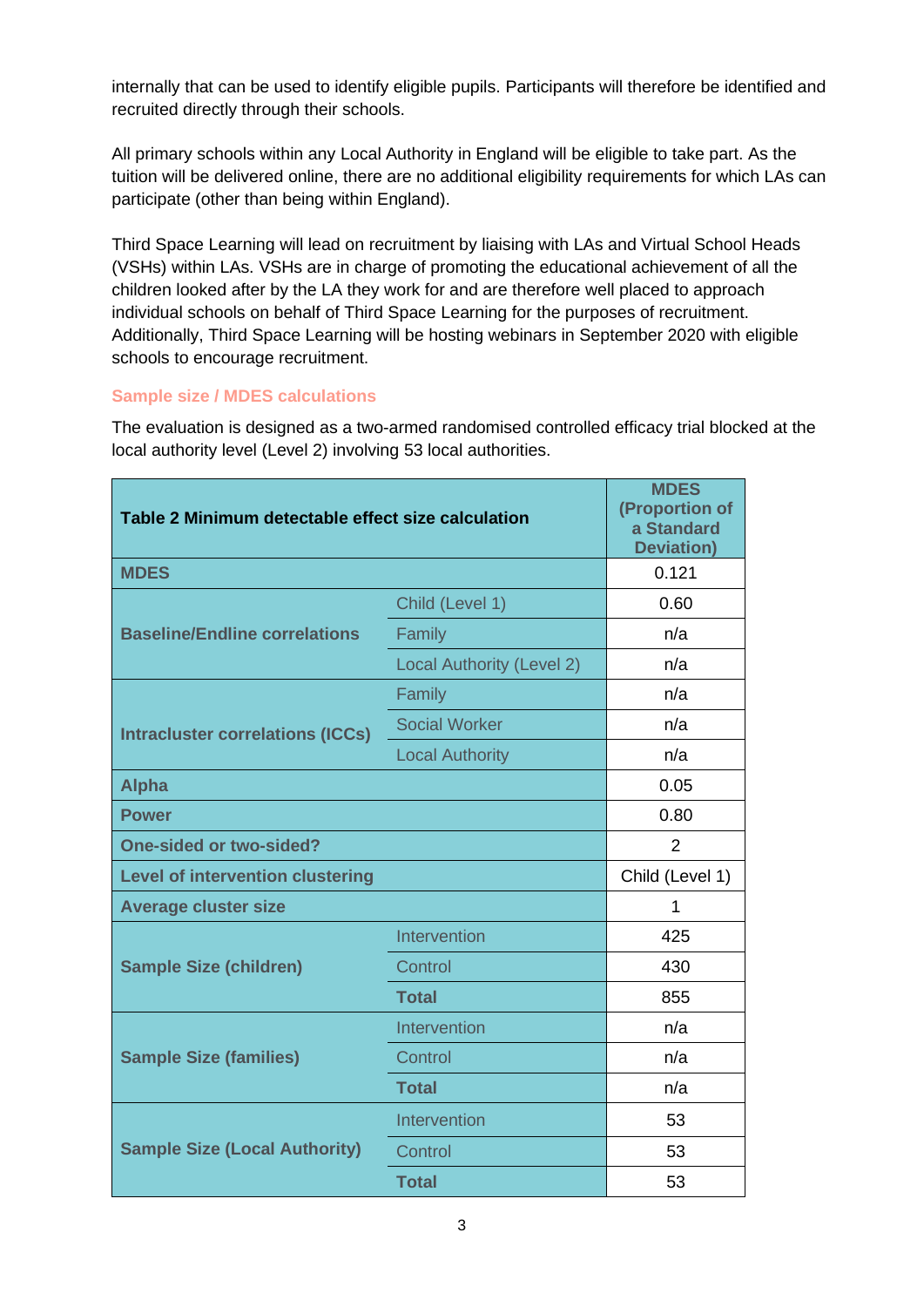internally that can be used to identify eligible pupils. Participants will therefore be identified and recruited directly through their schools.

All primary schools within any Local Authority in England will be eligible to take part. As the tuition will be delivered online, there are no additional eligibility requirements for which LAs can participate (other than being within England).

Third Space Learning will lead on recruitment by liaising with LAs and Virtual School Heads (VSHs) within LAs. VSHs are in charge of promoting the educational achievement of all the children looked after by the LA they work for and are therefore well placed to approach individual schools on behalf of Third Space Learning for the purposes of recruitment. Additionally, Third Space Learning will be hosting webinars in September 2020 with eligible schools to encourage recruitment.

#### <span id="page-8-0"></span>**Sample size / MDES calculations**

The evaluation is designed as a two-armed randomised controlled efficacy trial blocked at the local authority level (Level 2) involving 53 local authorities.

| Table 2 Minimum detectable effect size calculation |                                  | <b>MDES</b><br>(Proportion of<br>a Standard<br><b>Deviation)</b> |
|----------------------------------------------------|----------------------------------|------------------------------------------------------------------|
| <b>MDES</b>                                        |                                  | 0.121                                                            |
|                                                    | Child (Level 1)                  | 0.60                                                             |
| <b>Baseline/Endline correlations</b>               | Family                           | n/a                                                              |
|                                                    | <b>Local Authority (Level 2)</b> | n/a                                                              |
|                                                    | Family                           | n/a                                                              |
| <b>Intracluster correlations (ICCs)</b>            | <b>Social Worker</b>             | n/a                                                              |
|                                                    | <b>Local Authority</b>           | n/a                                                              |
| <b>Alpha</b>                                       |                                  | 0.05                                                             |
| <b>Power</b>                                       |                                  | 0.80                                                             |
| <b>One-sided or two-sided?</b>                     |                                  | $\overline{2}$                                                   |
| <b>Level of intervention clustering</b>            |                                  | Child (Level 1)                                                  |
| <b>Average cluster size</b>                        |                                  | 1                                                                |
|                                                    | Intervention                     | 425                                                              |
| <b>Sample Size (children)</b>                      | Control                          | 430                                                              |
|                                                    | <b>Total</b>                     | 855                                                              |
|                                                    | Intervention                     | n/a                                                              |
| <b>Sample Size (families)</b>                      | Control                          | n/a                                                              |
|                                                    | <b>Total</b>                     | n/a                                                              |
| <b>Sample Size (Local Authority)</b>               | Intervention                     | 53                                                               |
|                                                    | Control                          | 53                                                               |
|                                                    | <b>Total</b>                     | 53                                                               |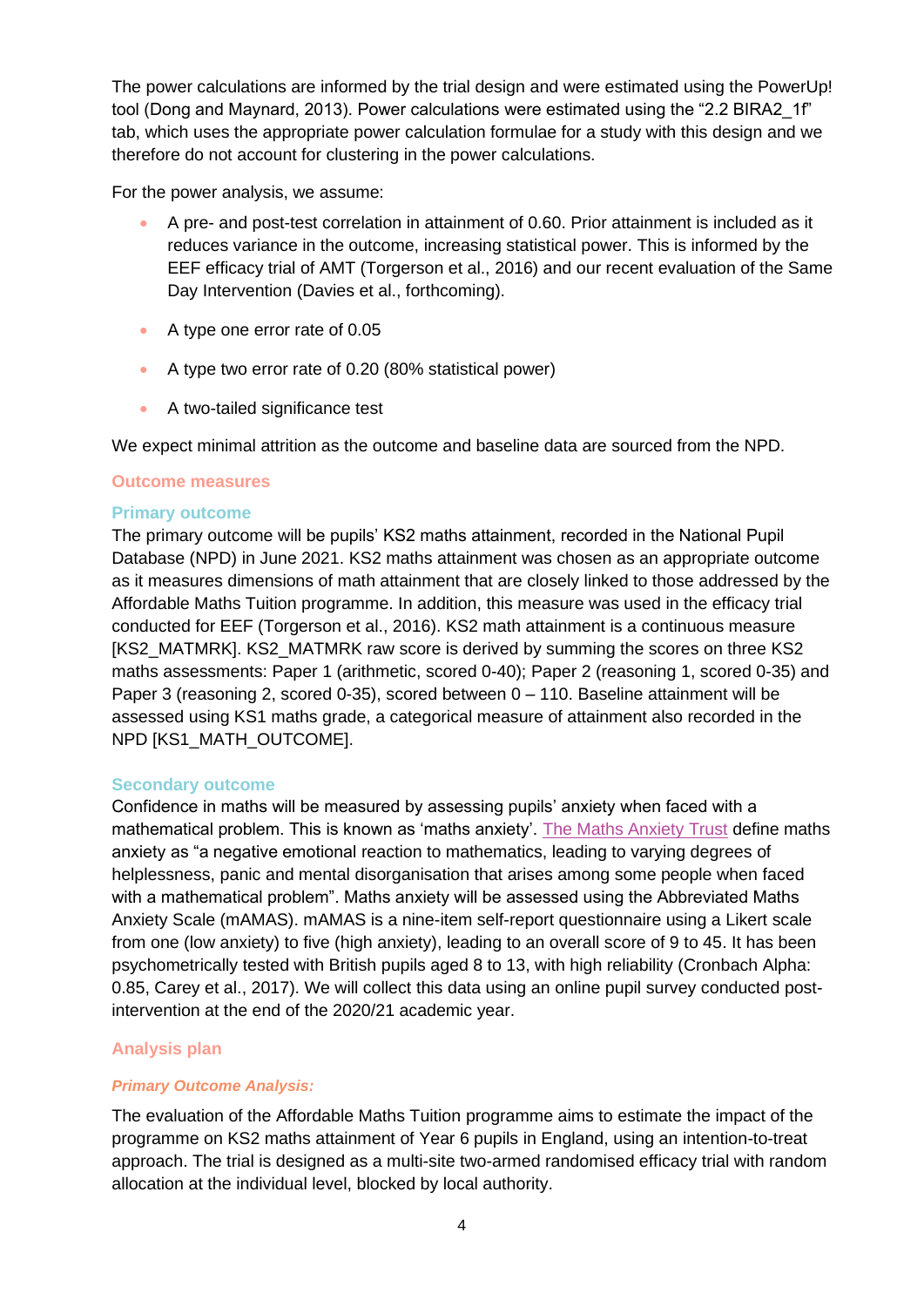The power calculations are informed by the trial design and were estimated using the PowerUp! tool (Dong and Maynard, 2013). Power calculations were estimated using the "2.2 BIRA2\_1f" tab, which uses the appropriate power calculation formulae for a study with this design and we therefore do not account for clustering in the power calculations.

For the power analysis, we assume:

- A pre- and post-test correlation in attainment of 0.60. Prior attainment is included as it reduces variance in the outcome, increasing statistical power. This is informed by the EEF efficacy trial of AMT (Torgerson et al., 2016) and our recent evaluation of the Same Day Intervention (Davies et al., forthcoming).
- A type one error rate of 0.05
- A type two error rate of 0.20 (80% statistical power)
- A two-tailed significance test

We expect minimal attrition as the outcome and baseline data are sourced from the NPD.

#### <span id="page-9-0"></span>**Outcome measures**

#### **Primary outcome**

The primary outcome will be pupils' KS2 maths attainment, recorded in the National Pupil Database (NPD) in June 2021. KS2 maths attainment was chosen as an appropriate outcome as it measures dimensions of math attainment that are closely linked to those addressed by the Affordable Maths Tuition programme. In addition, this measure was used in the efficacy trial conducted for EEF (Torgerson et al., 2016). KS2 math attainment is a continuous measure [KS2\_MATMRK]. KS2\_MATMRK raw score is derived by summing the scores on three KS2 maths assessments: Paper 1 (arithmetic, scored 0-40); Paper 2 (reasoning 1, scored 0-35) and Paper 3 (reasoning 2, scored 0-35), scored between 0 – 110. Baseline attainment will be assessed using KS1 maths grade, a categorical measure of attainment also recorded in the NPD [KS1\_MATH\_OUTCOME].

#### **Secondary outcome**

Confidence in maths will be measured by assessing pupils' anxiety when faced with a mathematical problem. This is known as 'maths anxiety'. [The Maths Anxiety Trust](http://mathsanxietytrust.com/) define maths anxiety as "a negative emotional reaction to mathematics, leading to varying degrees of helplessness, panic and mental disorganisation that arises among some people when faced with a mathematical problem". Maths anxiety will be assessed using the Abbreviated Maths Anxiety Scale (mAMAS). mAMAS is a nine-item self-report questionnaire using a Likert scale from one (low anxiety) to five (high anxiety), leading to an overall score of 9 to 45. It has been psychometrically tested with British pupils aged 8 to 13, with high reliability (Cronbach Alpha: 0.85, Carey et al., 2017). We will collect this data using an online pupil survey conducted postintervention at the end of the 2020/21 academic year.

## <span id="page-9-1"></span>**Analysis plan**

#### <span id="page-9-2"></span>*Primary Outcome Analysis:*

The evaluation of the Affordable Maths Tuition programme aims to estimate the impact of the programme on KS2 maths attainment of Year 6 pupils in England, using an intention-to-treat approach. The trial is designed as a multi-site two-armed randomised efficacy trial with random allocation at the individual level, blocked by local authority.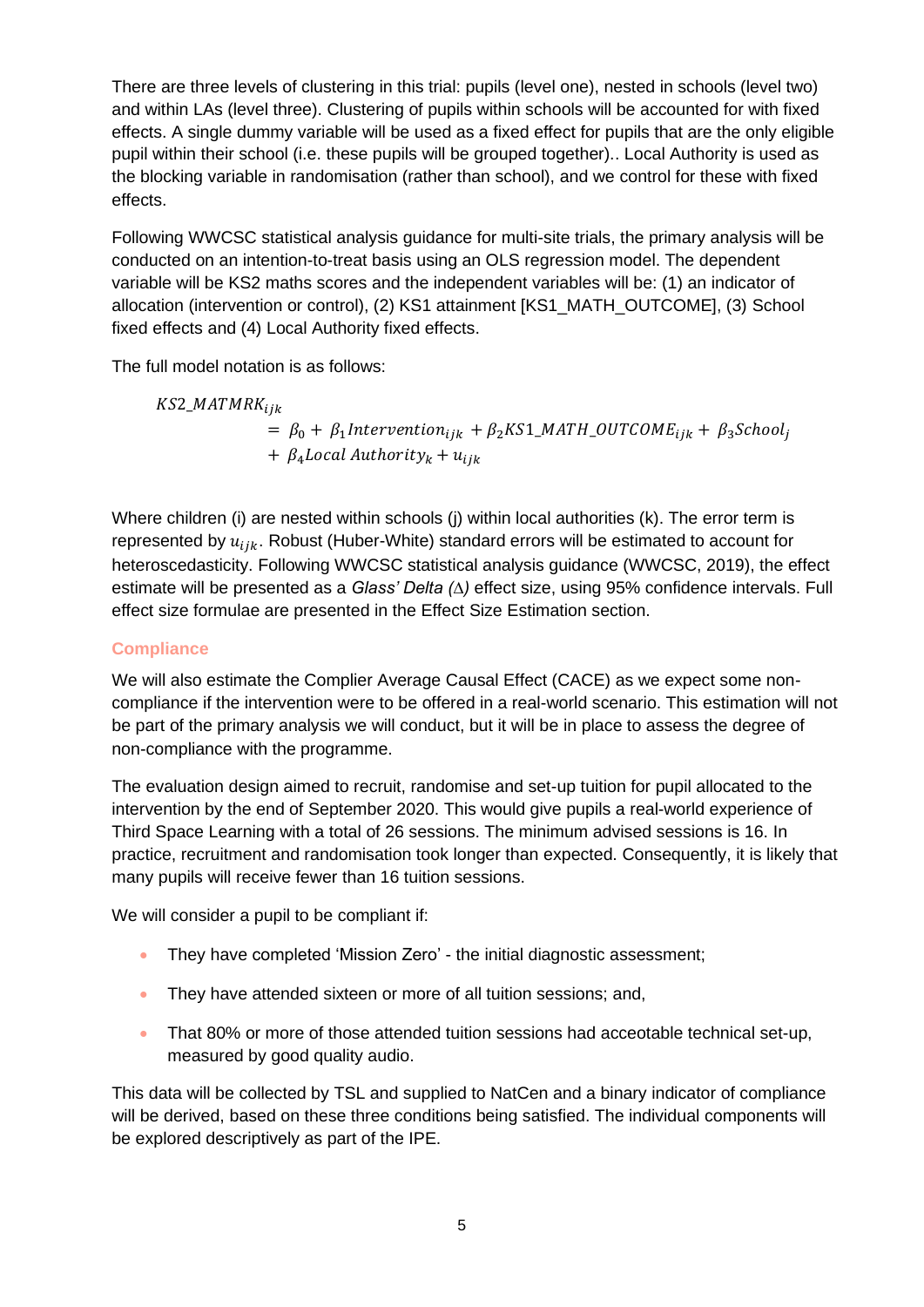There are three levels of clustering in this trial: pupils (level one), nested in schools (level two) and within LAs (level three). Clustering of pupils within schools will be accounted for with fixed effects. A single dummy variable will be used as a fixed effect for pupils that are the only eligible pupil within their school (i.e. these pupils will be grouped together).. Local Authority is used as the blocking variable in randomisation (rather than school), and we control for these with fixed effects.

Following WWCSC statistical analysis guidance for multi-site trials, the primary analysis will be conducted on an intention-to-treat basis using an OLS regression model. The dependent variable will be KS2 maths scores and the independent variables will be: (1) an indicator of allocation (intervention or control), (2) KS1 attainment [KS1\_MATH\_OUTCOME], (3) School fixed effects and (4) Local Authority fixed effects.

The full model notation is as follows:

 $KS2\_MATMRK_{ijk}$  $= \beta_0 + \beta_1$ Intervention<sub>ijk</sub> +  $\beta_2$ KS1\_MATH\_OUTCOME<sub>ijk</sub> +  $\beta_3$ School<sub>j</sub>  $+ \beta_4$  Local Authority<sub>k</sub> +  $u_{ijk}$ 

Where children (i) are nested within schools (j) within local authorities (k). The error term is represented by  $u_{ijk}$ . Robust (Huber-White) standard errors will be estimated to account for heteroscedasticity. Following WWCSC statistical analysis guidance (WWCSC, 2019), the effect estimate will be presented as a *Glass' Delta (∆)* effect size, using 95% confidence intervals. Full effect size formulae are presented in the Effect Size Estimation section.

## <span id="page-10-0"></span>**Compliance**

We will also estimate the Complier Average Causal Effect (CACE) as we expect some noncompliance if the intervention were to be offered in a real-world scenario. This estimation will not be part of the primary analysis we will conduct, but it will be in place to assess the degree of non-compliance with the programme.

The evaluation design aimed to recruit, randomise and set-up tuition for pupil allocated to the intervention by the end of September 2020. This would give pupils a real-world experience of Third Space Learning with a total of 26 sessions. The minimum advised sessions is 16. In practice, recruitment and randomisation took longer than expected. Consequently, it is likely that many pupils will receive fewer than 16 tuition sessions.

We will consider a pupil to be compliant if:

- They have completed 'Mission Zero' the initial diagnostic assessment;
- They have attended sixteen or more of all tuition sessions; and,
- That 80% or more of those attended tuition sessions had acceotable technical set-up, measured by good quality audio.

This data will be collected by TSL and supplied to NatCen and a binary indicator of compliance will be derived, based on these three conditions being satisfied. The individual components will be explored descriptively as part of the IPE.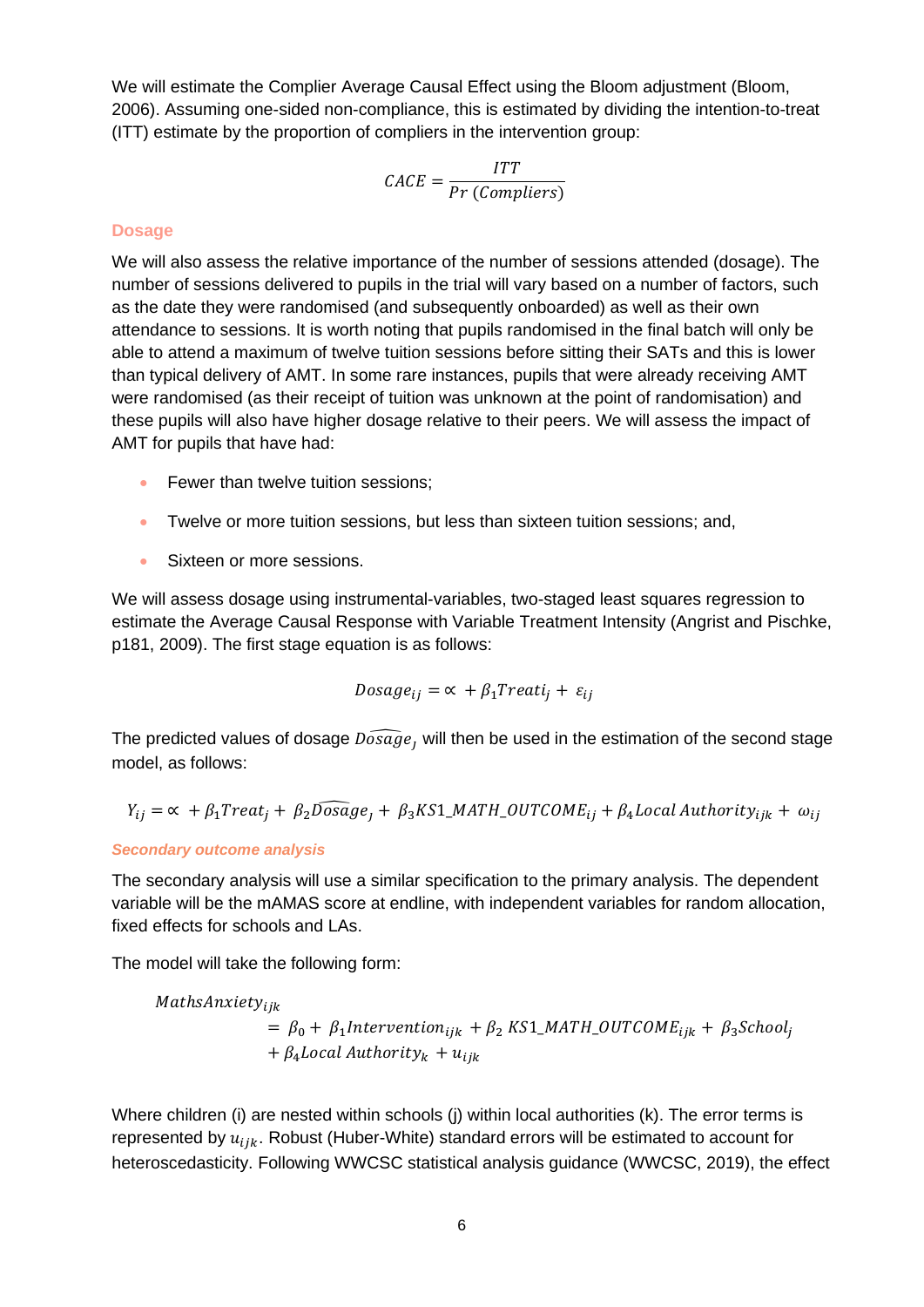We will estimate the Complier Average Causal Effect using the Bloom adjustment (Bloom, 2006). Assuming one-sided non-compliance, this is estimated by dividing the intention-to-treat (ITT) estimate by the proportion of compliers in the intervention group:

$$
CACE = \frac{ITT}{Pr (Compliers)}
$$

#### <span id="page-11-0"></span>**Dosage**

We will also assess the relative importance of the number of sessions attended (dosage). The number of sessions delivered to pupils in the trial will vary based on a number of factors, such as the date they were randomised (and subsequently onboarded) as well as their own attendance to sessions. It is worth noting that pupils randomised in the final batch will only be able to attend a maximum of twelve tuition sessions before sitting their SATs and this is lower than typical delivery of AMT. In some rare instances, pupils that were already receiving AMT were randomised (as their receipt of tuition was unknown at the point of randomisation) and these pupils will also have higher dosage relative to their peers. We will assess the impact of AMT for pupils that have had:

- Fewer than twelve tuition sessions;
- Twelve or more tuition sessions, but less than sixteen tuition sessions; and,
- Sixteen or more sessions.

We will assess dosage using instrumental-variables, two-staged least squares regression to estimate the Average Causal Response with Variable Treatment Intensity (Angrist and Pischke, p181, 2009). The first stage equation is as follows:

$$
Dosage_{ij} = \alpha + \beta_1 Treatij + \varepsilon_{ij}
$$

The predicted values of dosage  $\widehat{Doseg}e$ , will then be used in the estimation of the second stage model, as follows:

$$
Y_{ij} = \alpha + \beta_1 Treat_j + \beta_2 \widehat{Dosage}_j + \beta_3 KS1\_MATH\_OUTCOME_{ij} + \beta_4 Local Authority_{ijk} + \omega_{ij}
$$

#### <span id="page-11-1"></span>*Secondary outcome analysis*

The secondary analysis will use a similar specification to the primary analysis. The dependent variable will be the mAMAS score at endline, with independent variables for random allocation, fixed effects for schools and LAs.

The model will take the following form:

 $MathsAnxiety_{ijk}$  $= \beta_0 + \beta_1$ Intervention<sub>ijk</sub> +  $\beta_2$ KS1\_MATH\_OUTCOME<sub>ijk</sub> +  $\beta_3$ School<sub>j</sub>  $+ \beta_4$  Local Authority<sub>k</sub> +  $u_{ijk}$ 

Where children (i) are nested within schools (j) within local authorities (k). The error terms is represented by  $u_{iik}$ . Robust (Huber-White) standard errors will be estimated to account for heteroscedasticity. Following WWCSC statistical analysis guidance (WWCSC, 2019), the effect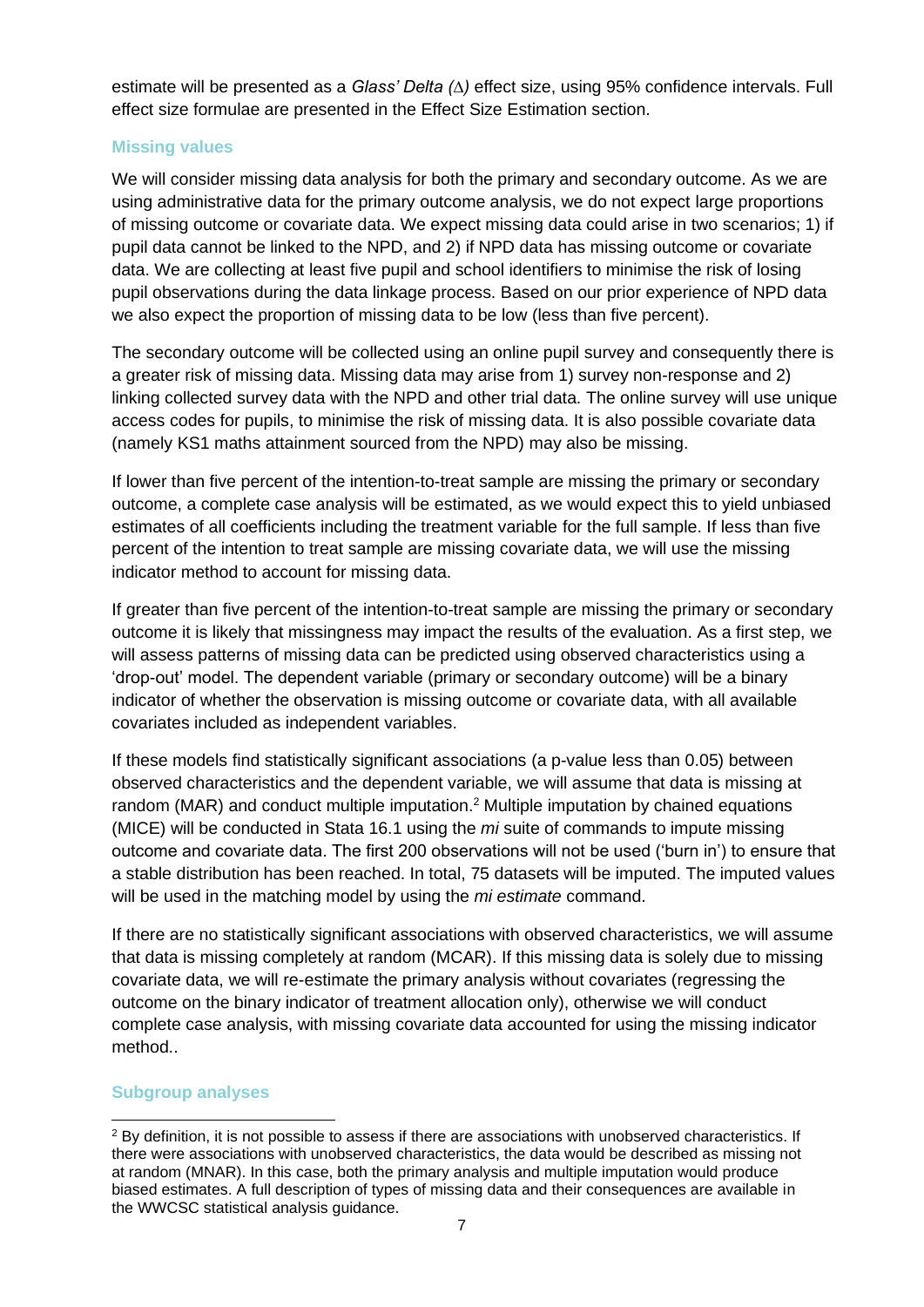estimate will be presented as a *Glass' Delta (∆)* effect size, using 95% confidence intervals. Full effect size formulae are presented in the Effect Size Estimation section.

### <span id="page-12-0"></span>**Missing values**

We will consider missing data analysis for both the primary and secondary outcome. As we are using administrative data for the primary outcome analysis, we do not expect large proportions of missing outcome or covariate data. We expect missing data could arise in two scenarios; 1) if pupil data cannot be linked to the NPD, and 2) if NPD data has missing outcome or covariate data. We are collecting at least five pupil and school identifiers to minimise the risk of losing pupil observations during the data linkage process. Based on our prior experience of NPD data we also expect the proportion of missing data to be low (less than five percent).

The secondary outcome will be collected using an online pupil survey and consequently there is a greater risk of missing data. Missing data may arise from 1) survey non-response and 2) linking collected survey data with the NPD and other trial data. The online survey will use unique access codes for pupils, to minimise the risk of missing data. It is also possible covariate data (namely KS1 maths attainment sourced from the NPD) may also be missing.

If lower than five percent of the intention-to-treat sample are missing the primary or secondary outcome, a complete case analysis will be estimated, as we would expect this to yield unbiased estimates of all coefficients including the treatment variable for the full sample. If less than five percent of the intention to treat sample are missing covariate data, we will use the missing indicator method to account for missing data.

If greater than five percent of the intention-to-treat sample are missing the primary or secondary outcome it is likely that missingness may impact the results of the evaluation. As a first step, we will assess patterns of missing data can be predicted using observed characteristics using a 'drop-out' model. The dependent variable (primary or secondary outcome) will be a binary indicator of whether the observation is missing outcome or covariate data, with all available covariates included as independent variables.

If these models find statistically significant associations (a p-value less than 0.05) between observed characteristics and the dependent variable, we will assume that data is missing at random (MAR) and conduct multiple imputation.<sup>2</sup> Multiple imputation by chained equations (MICE) will be conducted in Stata 16.1 using the *mi* suite of commands to impute missing outcome and covariate data. The first 200 observations will not be used ('burn in') to ensure that a stable distribution has been reached. In total, 75 datasets will be imputed. The imputed values will be used in the matching model by using the *mi estimate* command.

If there are no statistically significant associations with observed characteristics, we will assume that data is missing completely at random (MCAR). If this missing data is solely due to missing covariate data, we will re-estimate the primary analysis without covariates (regressing the outcome on the binary indicator of treatment allocation only), otherwise we will conduct complete case analysis, with missing covariate data accounted for using the missing indicator method..

## **Subgroup analyses**

<sup>&</sup>lt;sup>2</sup> By definition, it is not possible to assess if there are associations with unobserved characteristics. If there were associations with unobserved characteristics, the data would be described as missing not at random (MNAR). In this case, both the primary analysis and multiple imputation would produce biased estimates. A full description of types of missing data and their consequences are available in the WWCSC statistical analysis guidance.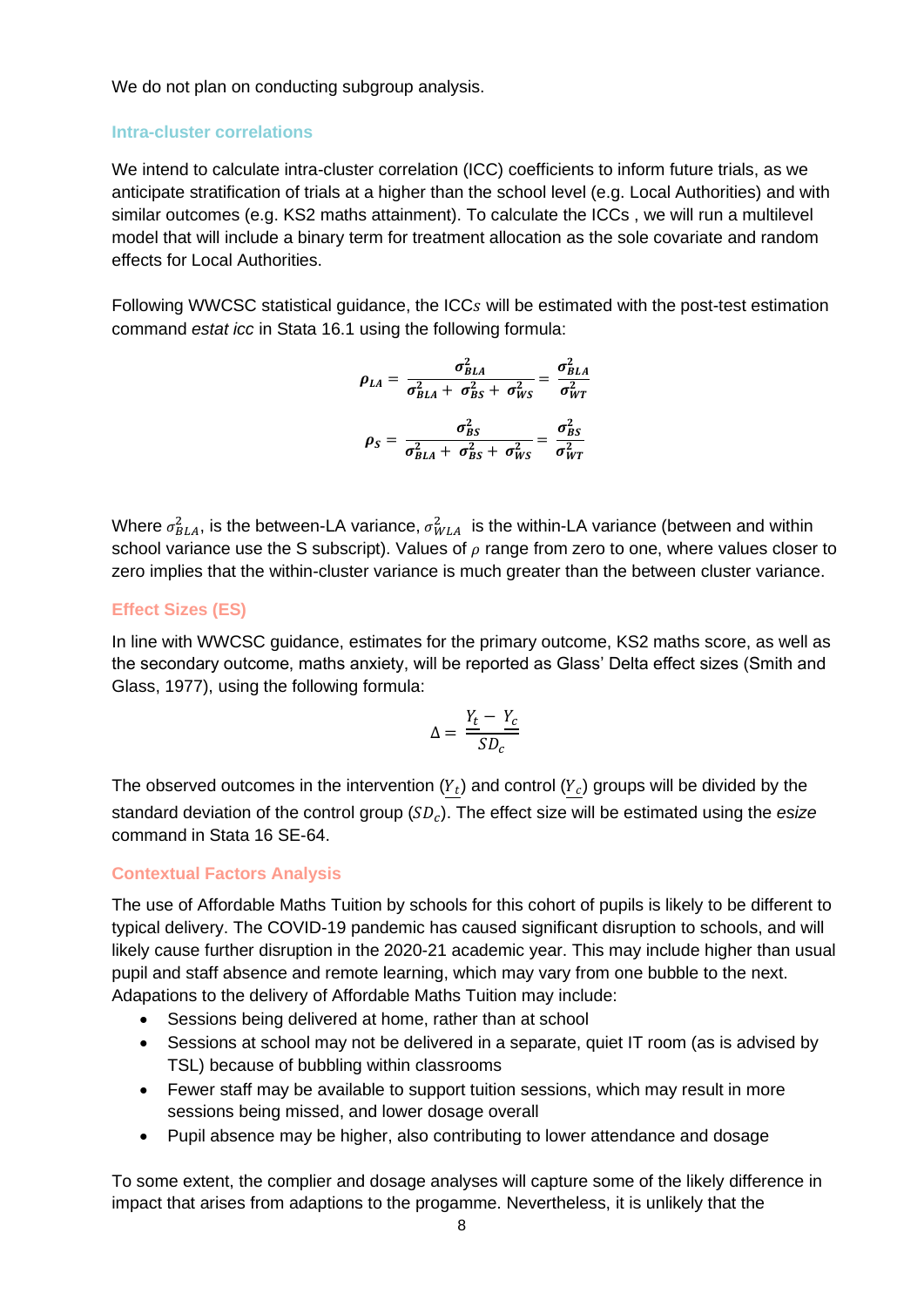We do not plan on conducting subgroup analysis.

#### **Intra-cluster correlations**

We intend to calculate intra-cluster correlation (ICC) coefficients to inform future trials, as we anticipate stratification of trials at a higher than the school level (e.g. Local Authorities) and with similar outcomes (e.g. KS2 maths attainment). To calculate the ICCs , we will run a multilevel model that will include a binary term for treatment allocation as the sole covariate and random effects for Local Authorities.

Following WWCSC statistical quidance, the ICC<sub>s</sub> will be estimated with the post-test estimation command *estat icc* in Stata 16.1 using the following formula:

$$
\rho_{LA} = \frac{\sigma_{BLA}^2}{\sigma_{BLA}^2 + \sigma_{BS}^2 + \sigma_{WS}^2} = \frac{\sigma_{BLA}^2}{\sigma_{WT}^2}
$$

$$
\rho_S = \frac{\sigma_{BS}^2}{\sigma_{BLA}^2 + \sigma_{BS}^2 + \sigma_{WS}^2} = \frac{\sigma_{BS}^2}{\sigma_{WT}^2}
$$

Where  $\sigma_{BLA}^2$ , is the between-LA variance,  $\sigma_{WLA}^2$  is the within-LA variance (between and within school variance use the S subscript). Values of  $\rho$  range from zero to one, where values closer to zero implies that the within-cluster variance is much greater than the between cluster variance.

#### <span id="page-13-0"></span>**Effect Sizes (ES)**

In line with WWCSC guidance, estimates for the primary outcome, KS2 maths score, as well as the secondary outcome, maths anxiety, will be reported as Glass' Delta effect sizes (Smith and Glass, 1977), using the following formula:

$$
\Delta = \frac{Y_t - Y_c}{SD_c}
$$

The observed outcomes in the intervention  $(Y_t)$  and control  $(Y_c)$  groups will be divided by the standard deviation of the control group (SD<sub>c</sub>). The effect size will be estimated using the *esize* command in Stata 16 SE-64.

#### <span id="page-13-1"></span>**Contextual Factors Analysis**

The use of Affordable Maths Tuition by schools for this cohort of pupils is likely to be different to typical delivery. The COVID-19 pandemic has caused significant disruption to schools, and will likely cause further disruption in the 2020-21 academic year. This may include higher than usual pupil and staff absence and remote learning, which may vary from one bubble to the next. Adapations to the delivery of Affordable Maths Tuition may include:

- Sessions being delivered at home, rather than at school
- Sessions at school may not be delivered in a separate, quiet IT room (as is advised by TSL) because of bubbling within classrooms
- Fewer staff may be available to support tuition sessions, which may result in more sessions being missed, and lower dosage overall
- Pupil absence may be higher, also contributing to lower attendance and dosage

To some extent, the complier and dosage analyses will capture some of the likely difference in impact that arises from adaptions to the progamme. Nevertheless, it is unlikely that the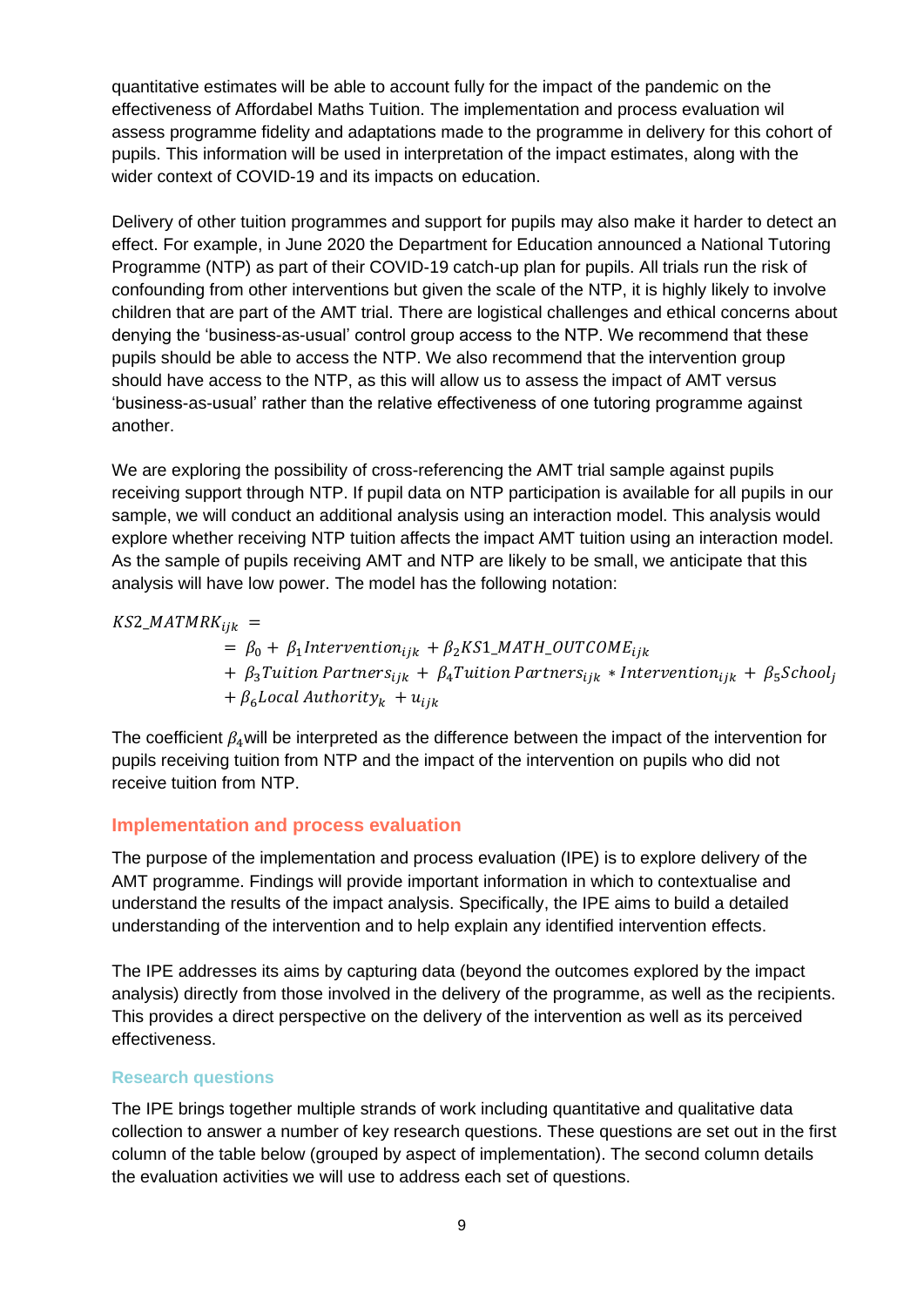quantitative estimates will be able to account fully for the impact of the pandemic on the effectiveness of Affordabel Maths Tuition. The implementation and process evaluation wil assess programme fidelity and adaptations made to the programme in delivery for this cohort of pupils. This information will be used in interpretation of the impact estimates, along with the wider context of COVID-19 and its impacts on education.

Delivery of other tuition programmes and support for pupils may also make it harder to detect an effect. For example, in June 2020 the Department for Education announced a National Tutoring Programme (NTP) as part of their COVID-19 catch-up plan for pupils. All trials run the risk of confounding from other interventions but given the scale of the NTP, it is highly likely to involve children that are part of the AMT trial. There are logistical challenges and ethical concerns about denying the 'business-as-usual' control group access to the NTP. We recommend that these pupils should be able to access the NTP. We also recommend that the intervention group should have access to the NTP, as this will allow us to assess the impact of AMT versus 'business-as-usual' rather than the relative effectiveness of one tutoring programme against another.

We are exploring the possibility of cross-referencing the AMT trial sample against pupils receiving support through NTP. If pupil data on NTP participation is available for all pupils in our sample, we will conduct an additional analysis using an interaction model. This analysis would explore whether receiving NTP tuition affects the impact AMT tuition using an interaction model. As the sample of pupils receiving AMT and NTP are likely to be small, we anticipate that this analysis will have low power. The model has the following notation:

 $KS2$  MATMR $K_{ijk}$  =

 $= \beta_0 + \beta_1$ Intervention<sub>ijk</sub> +  $\beta_2$ KS1\_MATH\_OUTCOME<sub>ijk</sub> +  $\beta_3$ Tuition Partners<sub>iik</sub> +  $\beta_4$ Tuition Partners<sub>iik</sub> \* Intervention<sub>iik</sub> +  $\beta_5$ School<sub>i</sub>  $+ \beta_6$  Local Authority<sub>k</sub> +  $u_{ijk}$ 

The coefficient  $\beta_4$  will be interpreted as the difference between the impact of the intervention for pupils receiving tuition from NTP and the impact of the intervention on pupils who did not receive tuition from NTP.

## <span id="page-14-0"></span>**Implementation and process evaluation**

The purpose of the implementation and process evaluation (IPE) is to explore delivery of the AMT programme. Findings will provide important information in which to contextualise and understand the results of the impact analysis. Specifically, the IPE aims to build a detailed understanding of the intervention and to help explain any identified intervention effects.

The IPE addresses its aims by capturing data (beyond the outcomes explored by the impact analysis) directly from those involved in the delivery of the programme, as well as the recipients. This provides a direct perspective on the delivery of the intervention as well as its perceived effectiveness.

## <span id="page-14-1"></span>**Research questions**

The IPE brings together multiple strands of work including quantitative and qualitative data collection to answer a number of key research questions. These questions are set out in the first column of the table below (grouped by aspect of implementation). The second column details the evaluation activities we will use to address each set of questions.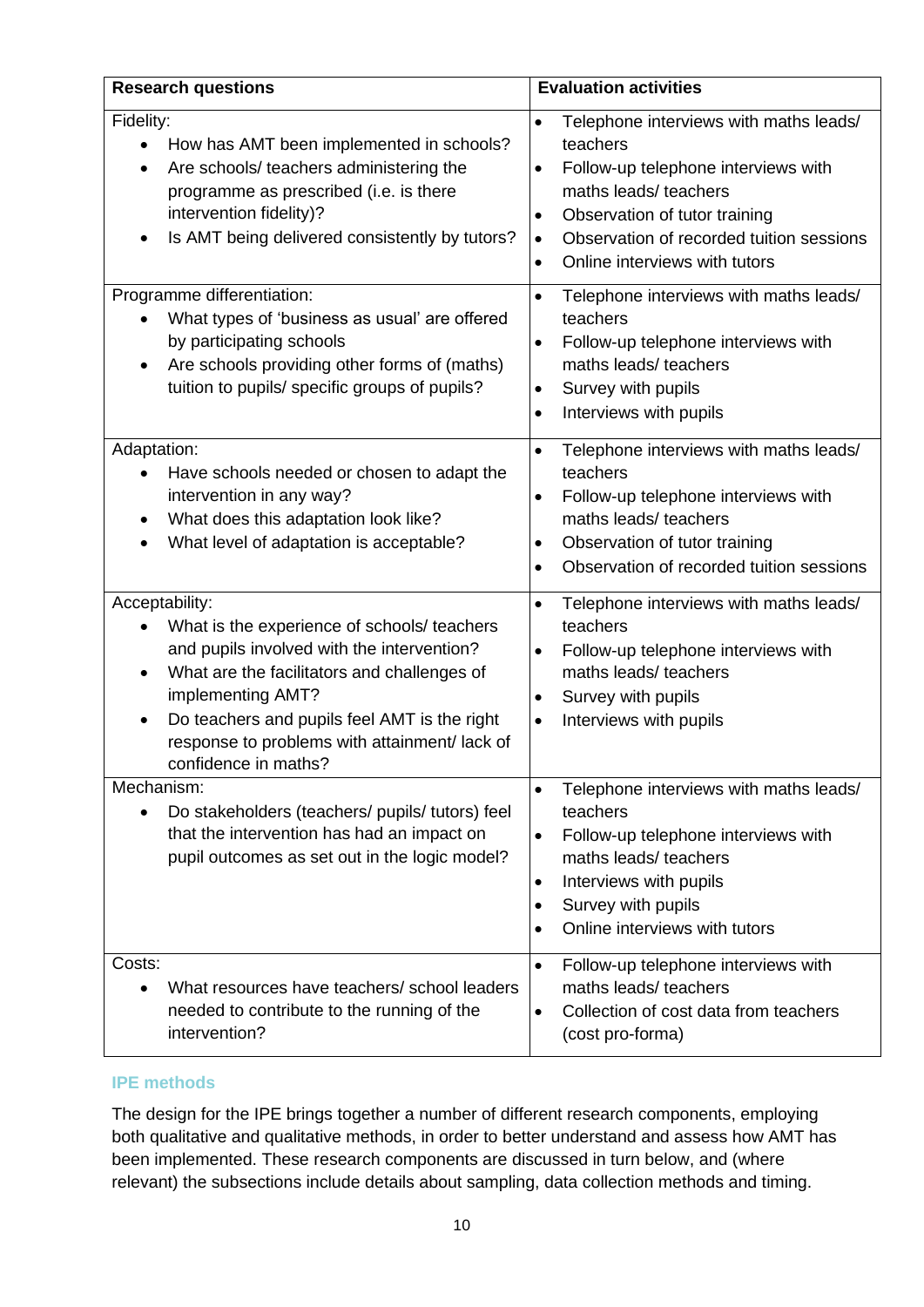| <b>Research questions</b>                                                                                                                                                                                                                                                                                                          | <b>Evaluation activities</b>                                                                                                                                                                                                                                                                      |
|------------------------------------------------------------------------------------------------------------------------------------------------------------------------------------------------------------------------------------------------------------------------------------------------------------------------------------|---------------------------------------------------------------------------------------------------------------------------------------------------------------------------------------------------------------------------------------------------------------------------------------------------|
| Fidelity:<br>How has AMT been implemented in schools?<br>Are schools/ teachers administering the<br>programme as prescribed (i.e. is there<br>intervention fidelity)?<br>Is AMT being delivered consistently by tutors?                                                                                                            | Telephone interviews with maths leads/<br>$\bullet$<br>teachers<br>Follow-up telephone interviews with<br>$\bullet$<br>maths leads/ teachers<br>Observation of tutor training<br>$\bullet$<br>Observation of recorded tuition sessions<br>$\bullet$<br>Online interviews with tutors<br>$\bullet$ |
| Programme differentiation:<br>What types of 'business as usual' are offered<br>by participating schools<br>Are schools providing other forms of (maths)<br>$\bullet$<br>tuition to pupils/ specific groups of pupils?                                                                                                              | Telephone interviews with maths leads/<br>$\bullet$<br>teachers<br>Follow-up telephone interviews with<br>$\bullet$<br>maths leads/ teachers<br>Survey with pupils<br>$\bullet$<br>Interviews with pupils<br>$\bullet$                                                                            |
| Adaptation:<br>Have schools needed or chosen to adapt the<br>intervention in any way?<br>What does this adaptation look like?<br>What level of adaptation is acceptable?                                                                                                                                                           | Telephone interviews with maths leads/<br>$\bullet$<br>teachers<br>Follow-up telephone interviews with<br>$\bullet$<br>maths leads/ teachers<br>Observation of tutor training<br>$\bullet$<br>Observation of recorded tuition sessions<br>$\bullet$                                               |
| Acceptability:<br>What is the experience of schools/ teachers<br>and pupils involved with the intervention?<br>What are the facilitators and challenges of<br>$\bullet$<br>implementing AMT?<br>Do teachers and pupils feel AMT is the right<br>$\bullet$<br>response to problems with attainment/ lack of<br>confidence in maths? | Telephone interviews with maths leads/<br>$\bullet$<br>teachers<br>Follow-up telephone interviews with<br>$\bullet$<br>maths leads/ teachers<br>Survey with pupils<br>$\bullet$<br>Interviews with pupils<br>$\bullet$                                                                            |
| Mechanism:<br>Do stakeholders (teachers/ pupils/ tutors) feel<br>that the intervention has had an impact on<br>pupil outcomes as set out in the logic model?                                                                                                                                                                       | Telephone interviews with maths leads/<br>$\bullet$<br>teachers<br>Follow-up telephone interviews with<br>$\bullet$<br>maths leads/ teachers<br>Interviews with pupils<br>٠<br>Survey with pupils<br>$\bullet$<br>Online interviews with tutors                                                   |
| Costs:<br>What resources have teachers/ school leaders<br>needed to contribute to the running of the<br>intervention?                                                                                                                                                                                                              | Follow-up telephone interviews with<br>$\bullet$<br>maths leads/ teachers<br>Collection of cost data from teachers<br>$\bullet$<br>(cost pro-forma)                                                                                                                                               |

## <span id="page-15-0"></span>**IPE methods**

The design for the IPE brings together a number of different research components, employing both qualitative and qualitative methods, in order to better understand and assess how AMT has been implemented. These research components are discussed in turn below, and (where relevant) the subsections include details about sampling, data collection methods and timing.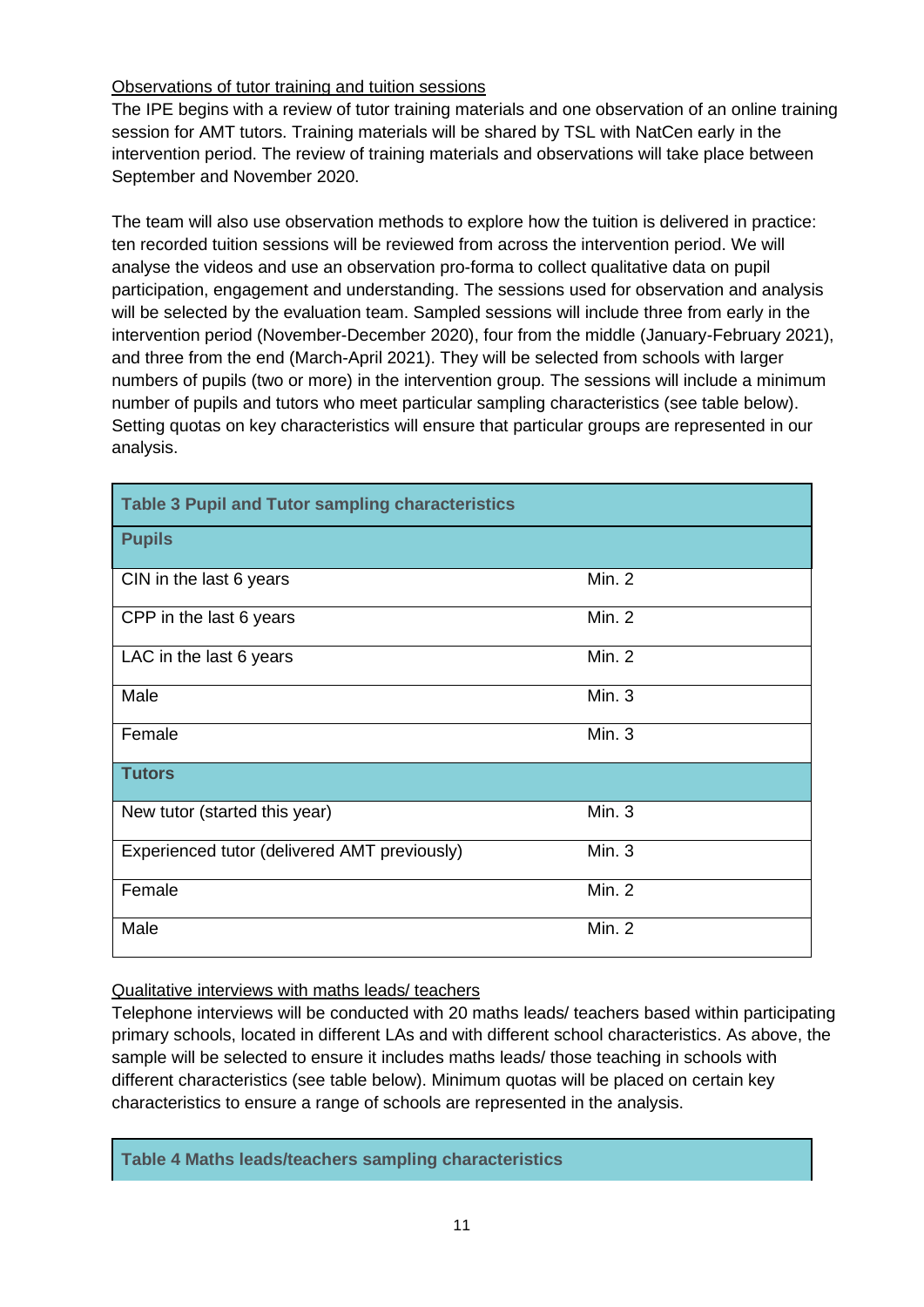## Observations of tutor training and tuition sessions

The IPE begins with a review of tutor training materials and one observation of an online training session for AMT tutors. Training materials will be shared by TSL with NatCen early in the intervention period. The review of training materials and observations will take place between September and November 2020.

The team will also use observation methods to explore how the tuition is delivered in practice: ten recorded tuition sessions will be reviewed from across the intervention period. We will analyse the videos and use an observation pro-forma to collect qualitative data on pupil participation, engagement and understanding. The sessions used for observation and analysis will be selected by the evaluation team. Sampled sessions will include three from early in the intervention period (November-December 2020), four from the middle (January-February 2021), and three from the end (March-April 2021). They will be selected from schools with larger numbers of pupils (two or more) in the intervention group. The sessions will include a minimum number of pupils and tutors who meet particular sampling characteristics (see table below). Setting quotas on key characteristics will ensure that particular groups are represented in our analysis.

| <b>Table 3 Pupil and Tutor sampling characteristics</b> |               |
|---------------------------------------------------------|---------------|
| <b>Pupils</b>                                           |               |
| CIN in the last 6 years                                 | Min. 2        |
| CPP in the last 6 years                                 | Min. 2        |
| LAC in the last 6 years                                 | <b>Min. 2</b> |
| Male                                                    | Min. 3        |
| Female                                                  | Min. 3        |
| <b>Tutors</b>                                           |               |
| New tutor (started this year)                           | Min. 3        |
| Experienced tutor (delivered AMT previously)            | Min. 3        |
| Female                                                  | Min. $2$      |
| Male                                                    | Min. 2        |

## Qualitative interviews with maths leads/ teachers

Telephone interviews will be conducted with 20 maths leads/ teachers based within participating primary schools, located in different LAs and with different school characteristics. As above, the sample will be selected to ensure it includes maths leads/ those teaching in schools with different characteristics (see table below). Minimum quotas will be placed on certain key characteristics to ensure a range of schools are represented in the analysis.

**Table 4 Maths leads/teachers sampling characteristics**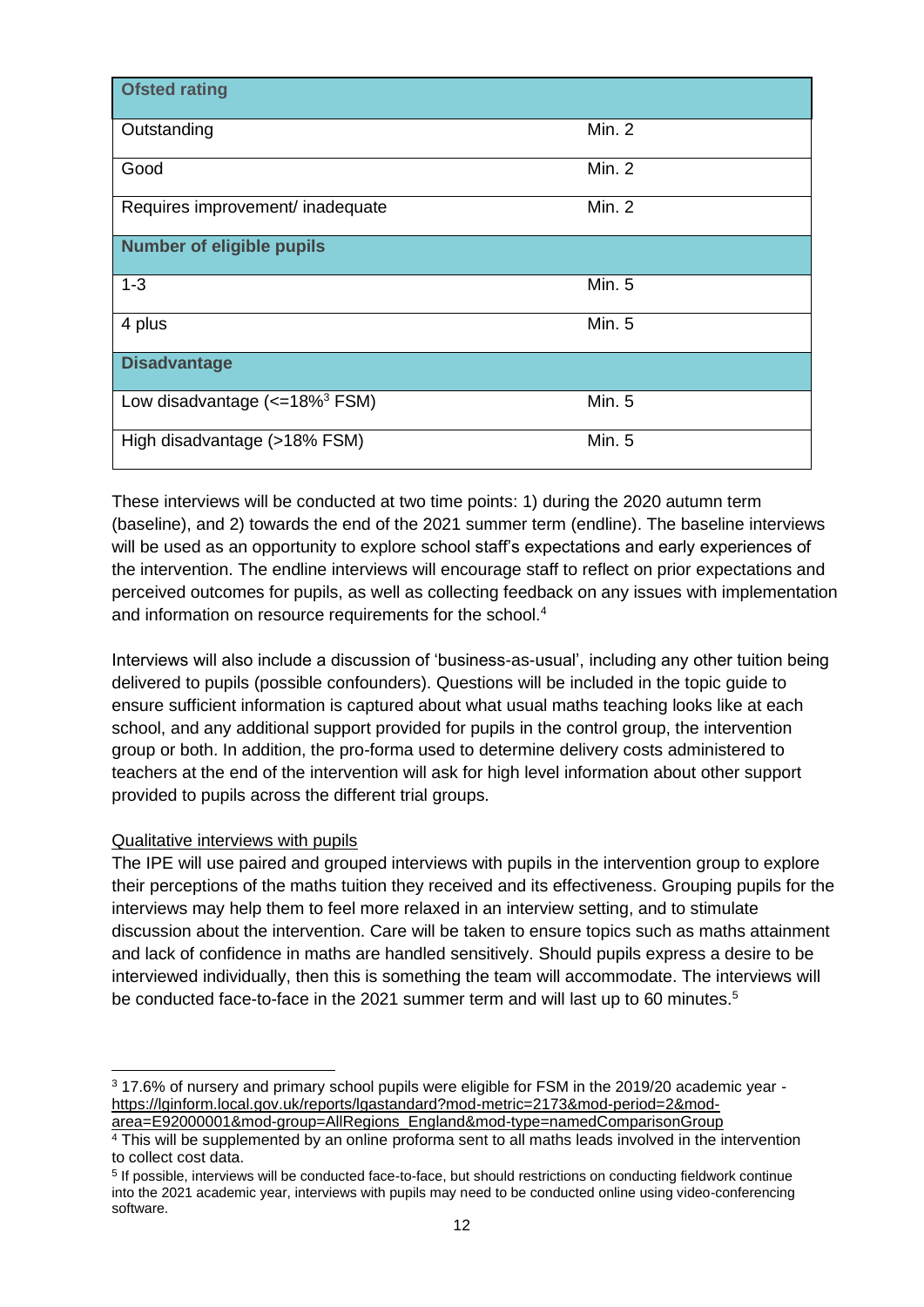| <b>Ofsted rating</b>                     |               |
|------------------------------------------|---------------|
|                                          |               |
| Outstanding                              | Min. $2$      |
| Good                                     | Min. $2$      |
| Requires improvement/ inadequate         | Min. 2        |
| <b>Number of eligible pupils</b>         |               |
| $1 - 3$                                  | <b>Min. 5</b> |
| 4 plus                                   | <b>Min. 5</b> |
| <b>Disadvantage</b>                      |               |
| Low disadvantage $\left(<=18\%^{3}$ FSM) | <b>Min. 5</b> |
| High disadvantage (>18% FSM)             | <b>Min. 5</b> |

These interviews will be conducted at two time points: 1) during the 2020 autumn term (baseline), and 2) towards the end of the 2021 summer term (endline). The baseline interviews will be used as an opportunity to explore school staff's expectations and early experiences of the intervention. The endline interviews will encourage staff to reflect on prior expectations and perceived outcomes for pupils, as well as collecting feedback on any issues with implementation and information on resource requirements for the school.<sup>4</sup>

Interviews will also include a discussion of 'business-as-usual', including any other tuition being delivered to pupils (possible confounders). Questions will be included in the topic guide to ensure sufficient information is captured about what usual maths teaching looks like at each school, and any additional support provided for pupils in the control group, the intervention group or both. In addition, the pro-forma used to determine delivery costs administered to teachers at the end of the intervention will ask for high level information about other support provided to pupils across the different trial groups.

#### Qualitative interviews with pupils

The IPE will use paired and grouped interviews with pupils in the intervention group to explore their perceptions of the maths tuition they received and its effectiveness. Grouping pupils for the interviews may help them to feel more relaxed in an interview setting, and to stimulate discussion about the intervention. Care will be taken to ensure topics such as maths attainment and lack of confidence in maths are handled sensitively. Should pupils express a desire to be interviewed individually, then this is something the team will accommodate. The interviews will be conducted face-to-face in the 2021 summer term and will last up to 60 minutes.<sup>5</sup>

<sup>3</sup> 17.6% of nursery and primary school pupils were eligible for FSM in the 2019/20 academic year [https://lginform.local.gov.uk/reports/lgastandard?mod-metric=2173&mod-period=2&mod-](https://lginform.local.gov.uk/reports/lgastandard?mod-metric=2173&mod-period=2&mod-area=E92000001&mod-group=AllRegions_England&mod-type=namedComparisonGroup)

[area=E92000001&mod-group=AllRegions\\_England&mod-type=namedComparisonGroup](https://lginform.local.gov.uk/reports/lgastandard?mod-metric=2173&mod-period=2&mod-area=E92000001&mod-group=AllRegions_England&mod-type=namedComparisonGroup)

<sup>&</sup>lt;sup>4</sup> This will be supplemented by an online proforma sent to all maths leads involved in the intervention to collect cost data.

<sup>&</sup>lt;sup>5</sup> If possible, interviews will be conducted face-to-face, but should restrictions on conducting fieldwork continue into the 2021 academic year, interviews with pupils may need to be conducted online using video-conferencing software.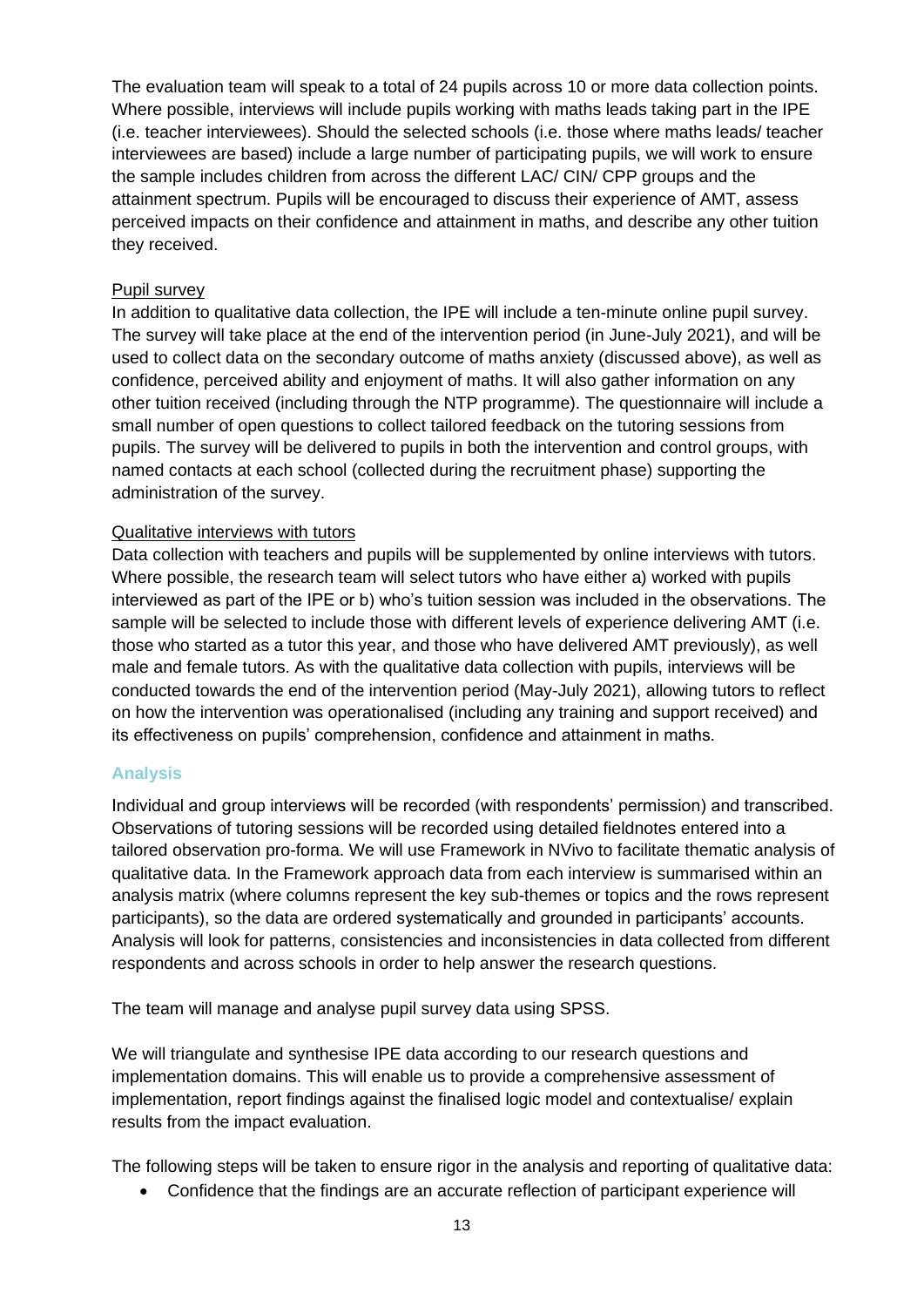The evaluation team will speak to a total of 24 pupils across 10 or more data collection points. Where possible, interviews will include pupils working with maths leads taking part in the IPE (i.e. teacher interviewees). Should the selected schools (i.e. those where maths leads/ teacher interviewees are based) include a large number of participating pupils, we will work to ensure the sample includes children from across the different LAC/ CIN/ CPP groups and the attainment spectrum. Pupils will be encouraged to discuss their experience of AMT, assess perceived impacts on their confidence and attainment in maths, and describe any other tuition they received.

#### Pupil survey

In addition to qualitative data collection, the IPE will include a ten-minute online pupil survey. The survey will take place at the end of the intervention period (in June-July 2021), and will be used to collect data on the secondary outcome of maths anxiety (discussed above), as well as confidence, perceived ability and enjoyment of maths. It will also gather information on any other tuition received (including through the NTP programme). The questionnaire will include a small number of open questions to collect tailored feedback on the tutoring sessions from pupils. The survey will be delivered to pupils in both the intervention and control groups, with named contacts at each school (collected during the recruitment phase) supporting the administration of the survey.

#### Qualitative interviews with tutors

Data collection with teachers and pupils will be supplemented by online interviews with tutors. Where possible, the research team will select tutors who have either a) worked with pupils interviewed as part of the IPE or b) who's tuition session was included in the observations. The sample will be selected to include those with different levels of experience delivering AMT (i.e. those who started as a tutor this year, and those who have delivered AMT previously), as well male and female tutors. As with the qualitative data collection with pupils, interviews will be conducted towards the end of the intervention period (May-July 2021), allowing tutors to reflect on how the intervention was operationalised (including any training and support received) and its effectiveness on pupils' comprehension, confidence and attainment in maths.

## <span id="page-18-0"></span>**Analysis**

Individual and group interviews will be recorded (with respondents' permission) and transcribed. Observations of tutoring sessions will be recorded using detailed fieldnotes entered into a tailored observation pro-forma. We will use Framework in NVivo to facilitate thematic analysis of qualitative data. In the Framework approach data from each interview is summarised within an analysis matrix (where columns represent the key sub-themes or topics and the rows represent participants), so the data are ordered systematically and grounded in participants' accounts. Analysis will look for patterns, consistencies and inconsistencies in data collected from different respondents and across schools in order to help answer the research questions.

The team will manage and analyse pupil survey data using SPSS.

We will triangulate and synthesise IPE data according to our research questions and implementation domains. This will enable us to provide a comprehensive assessment of implementation, report findings against the finalised logic model and contextualise/ explain results from the impact evaluation.

The following steps will be taken to ensure rigor in the analysis and reporting of qualitative data:

• Confidence that the findings are an accurate reflection of participant experience will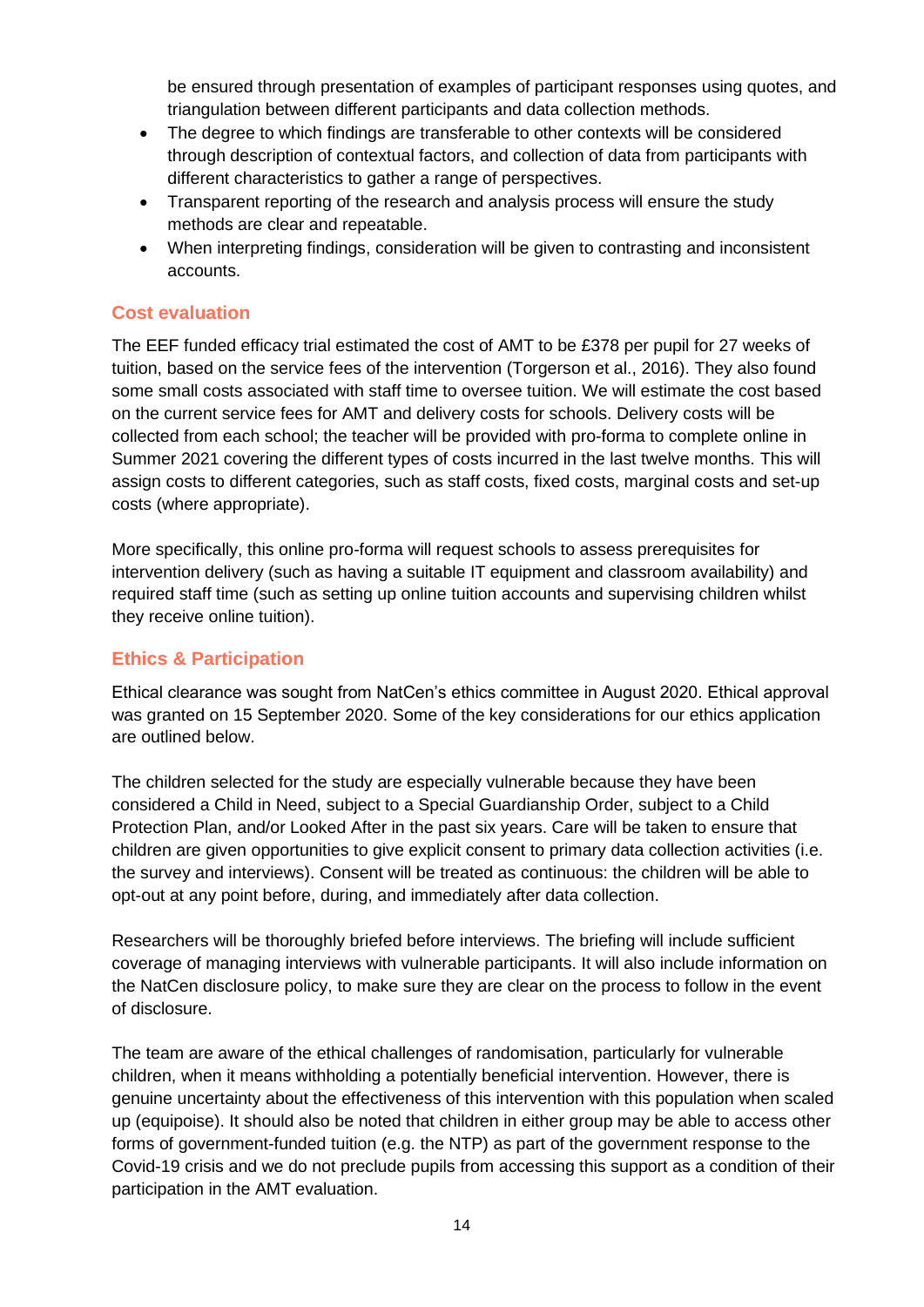be ensured through presentation of examples of participant responses using quotes, and triangulation between different participants and data collection methods.

- The degree to which findings are transferable to other contexts will be considered through description of contextual factors, and collection of data from participants with different characteristics to gather a range of perspectives.
- Transparent reporting of the research and analysis process will ensure the study methods are clear and repeatable.
- When interpreting findings, consideration will be given to contrasting and inconsistent accounts.

## <span id="page-19-0"></span>**Cost evaluation**

The EEF funded efficacy trial estimated the cost of AMT to be £378 per pupil for 27 weeks of tuition, based on the service fees of the intervention (Torgerson et al., 2016). They also found some small costs associated with staff time to oversee tuition. We will estimate the cost based on the current service fees for AMT and delivery costs for schools. Delivery costs will be collected from each school; the teacher will be provided with pro-forma to complete online in Summer 2021 covering the different types of costs incurred in the last twelve months. This will assign costs to different categories, such as staff costs, fixed costs, marginal costs and set-up costs (where appropriate).

More specifically, this online pro-forma will request schools to assess prerequisites for intervention delivery (such as having a suitable IT equipment and classroom availability) and required staff time (such as setting up online tuition accounts and supervising children whilst they receive online tuition).

## <span id="page-19-1"></span>**Ethics & Participation**

Ethical clearance was sought from NatCen's ethics committee in August 2020. Ethical approval was granted on 15 September 2020. Some of the key considerations for our ethics application are outlined below.

The children selected for the study are especially vulnerable because they have been considered a Child in Need, subject to a Special Guardianship Order, subject to a Child Protection Plan, and/or Looked After in the past six years. Care will be taken to ensure that children are given opportunities to give explicit consent to primary data collection activities (i.e. the survey and interviews). Consent will be treated as continuous: the children will be able to opt-out at any point before, during, and immediately after data collection.

Researchers will be thoroughly briefed before interviews. The briefing will include sufficient coverage of managing interviews with vulnerable participants. It will also include information on the NatCen disclosure policy, to make sure they are clear on the process to follow in the event of disclosure.

The team are aware of the ethical challenges of randomisation, particularly for vulnerable children, when it means withholding a potentially beneficial intervention. However, there is genuine uncertainty about the effectiveness of this intervention with this population when scaled up (equipoise). It should also be noted that children in either group may be able to access other forms of government-funded tuition (e.g. the NTP) as part of the government response to the Covid-19 crisis and we do not preclude pupils from accessing this support as a condition of their participation in the AMT evaluation.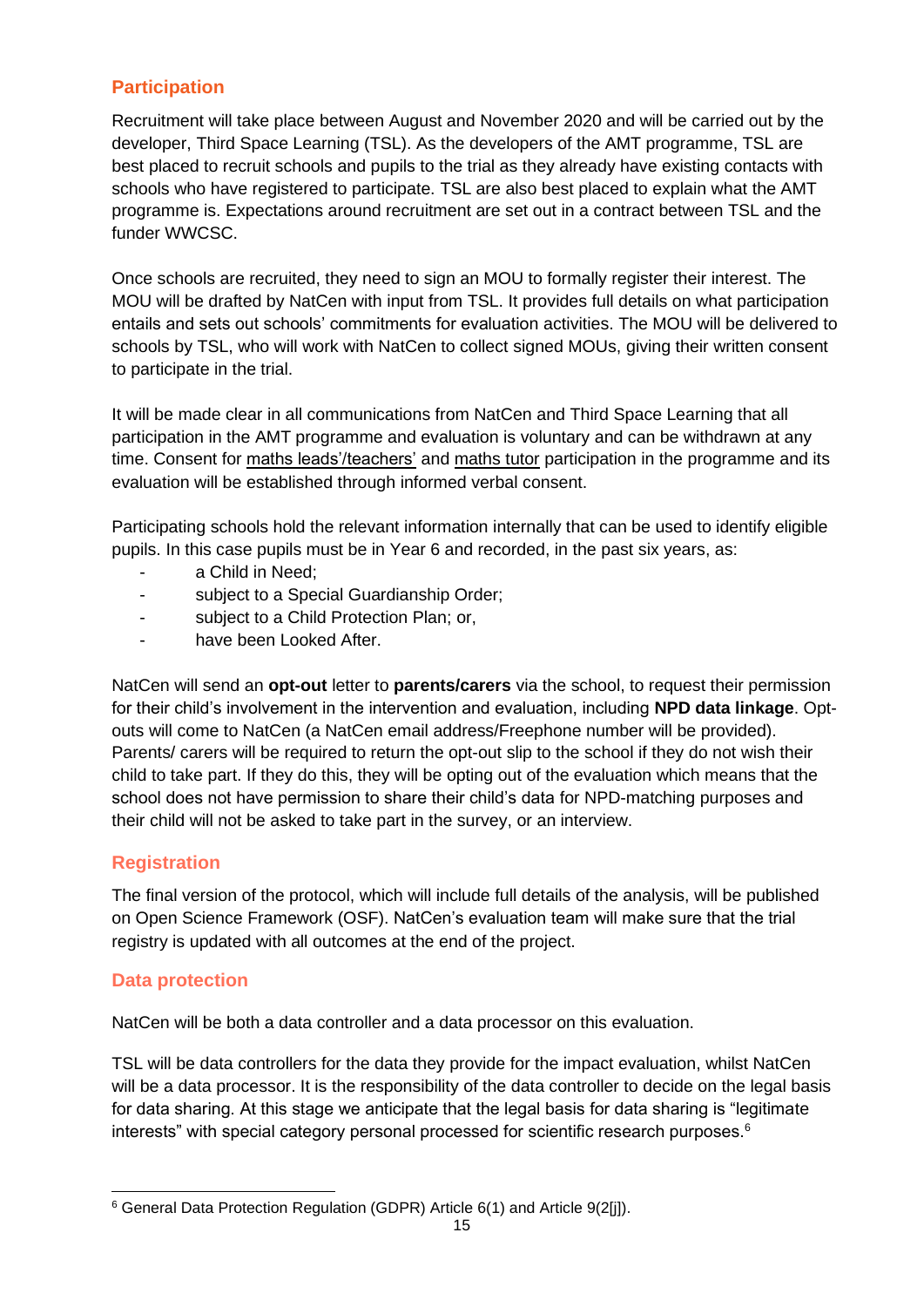## <span id="page-20-0"></span>**Participation**

Recruitment will take place between August and November 2020 and will be carried out by the developer, Third Space Learning (TSL). As the developers of the AMT programme, TSL are best placed to recruit schools and pupils to the trial as they already have existing contacts with schools who have registered to participate. TSL are also best placed to explain what the AMT programme is. Expectations around recruitment are set out in a contract between TSL and the funder WWCSC.

Once schools are recruited, they need to sign an MOU to formally register their interest. The MOU will be drafted by NatCen with input from TSL. It provides full details on what participation entails and sets out schools' commitments for evaluation activities. The MOU will be delivered to schools by TSL, who will work with NatCen to collect signed MOUs, giving their written consent to participate in the trial.

It will be made clear in all communications from NatCen and Third Space Learning that all participation in the AMT programme and evaluation is voluntary and can be withdrawn at any time. Consent for maths leads'/teachers' and maths tutor participation in the programme and its evaluation will be established through informed verbal consent.

Participating schools hold the relevant information internally that can be used to identify eligible pupils. In this case pupils must be in Year 6 and recorded, in the past six years, as:

- a Child in Need;
- subject to a Special Guardianship Order;
- subject to a Child Protection Plan; or,
- have been Looked After.

NatCen will send an **opt-out** letter to **parents/carers** via the school, to request their permission for their child's involvement in the intervention and evaluation, including **NPD data linkage**. Optouts will come to NatCen (a NatCen email address/Freephone number will be provided). Parents/ carers will be required to return the opt-out slip to the school if they do not wish their child to take part. If they do this, they will be opting out of the evaluation which means that the school does not have permission to share their child's data for NPD-matching purposes and their child will not be asked to take part in the survey, or an interview.

## <span id="page-20-1"></span>**Registration**

The final version of the protocol, which will include full details of the analysis, will be published on Open Science Framework (OSF). NatCen's evaluation team will make sure that the trial registry is updated with all outcomes at the end of the project.

## <span id="page-20-2"></span>**Data protection**

NatCen will be both a data controller and a data processor on this evaluation.

TSL will be data controllers for the data they provide for the impact evaluation, whilst NatCen will be a data processor. It is the responsibility of the data controller to decide on the legal basis for data sharing. At this stage we anticipate that the legal basis for data sharing is "legitimate interests" with special category personal processed for scientific research purposes.<sup>6</sup>

<sup>6</sup> General Data Protection Regulation (GDPR) Article 6(1) and Article 9(2[j]).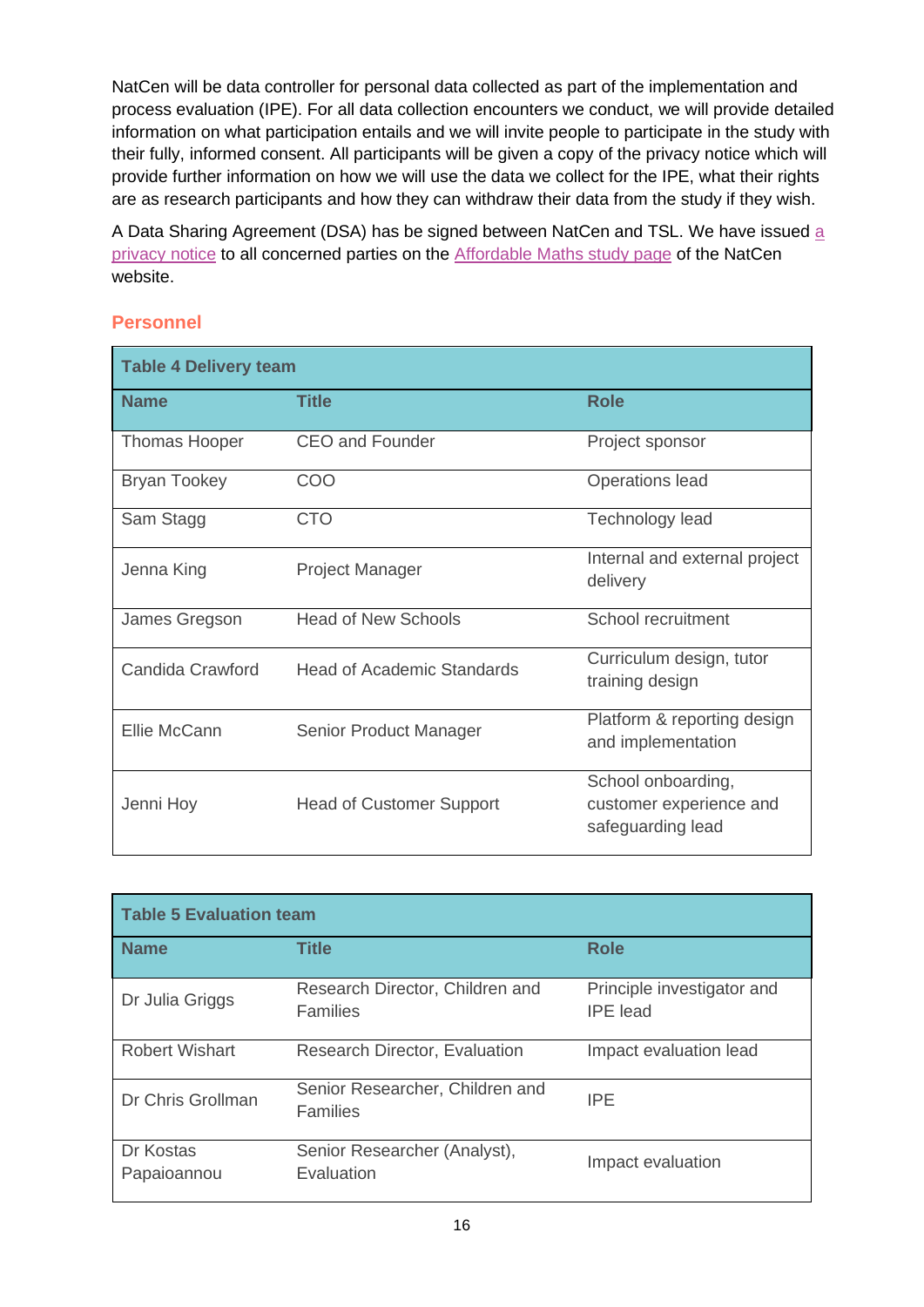NatCen will be data controller for personal data collected as part of the implementation and process evaluation (IPE). For all data collection encounters we conduct, we will provide detailed information on what participation entails and we will invite people to participate in the study with their fully, informed consent. All participants will be given a copy of the privacy notice which will provide further information on how we will use the data we collect for the IPE, what their rights are as research participants and how they can withdraw their data from the study if they wish.

A Data Sharing Agreement (DSA) has be signed between NatCen and TSL. We have issued [a](https://natcen.ac.uk/taking-part/studies-in-field/affordable-maths-tuition/privacy-notice/)  [privacy notice](https://natcen.ac.uk/taking-part/studies-in-field/affordable-maths-tuition/privacy-notice/) to all concerned parties on the **Affordable Maths study page of the NatCen** website.

## <span id="page-21-0"></span>**Personnel**

| <b>Table 4 Delivery team</b> |                                   |                                                                    |  |
|------------------------------|-----------------------------------|--------------------------------------------------------------------|--|
| <b>Name</b>                  | <b>Title</b>                      | <b>Role</b>                                                        |  |
| Thomas Hooper                | <b>CEO and Founder</b>            | Project sponsor                                                    |  |
| <b>Bryan Tookey</b>          | COO                               | <b>Operations lead</b>                                             |  |
| Sam Stagg                    | <b>CTO</b>                        | Technology lead                                                    |  |
| Jenna King                   | <b>Project Manager</b>            | Internal and external project<br>delivery                          |  |
| James Gregson                | <b>Head of New Schools</b>        | School recruitment                                                 |  |
| Candida Crawford             | <b>Head of Academic Standards</b> | Curriculum design, tutor<br>training design                        |  |
| Ellie McCann                 | Senior Product Manager            | Platform & reporting design<br>and implementation                  |  |
| Jenni Hoy                    | <b>Head of Customer Support</b>   | School onboarding,<br>customer experience and<br>safeguarding lead |  |

| <b>Table 5 Evaluation team</b> |                                                    |                                               |  |
|--------------------------------|----------------------------------------------------|-----------------------------------------------|--|
| <b>Name</b>                    | <b>Title</b>                                       | <b>Role</b>                                   |  |
| Dr Julia Griggs                | Research Director, Children and<br><b>Families</b> | Principle investigator and<br><b>IPE</b> lead |  |
| <b>Robert Wishart</b>          | <b>Research Director, Evaluation</b>               | Impact evaluation lead                        |  |
| Dr Chris Grollman              | Senior Researcher, Children and<br><b>Families</b> | <b>IPF</b>                                    |  |
| Dr Kostas<br>Papaioannou       | Senior Researcher (Analyst),<br>Evaluation         | Impact evaluation                             |  |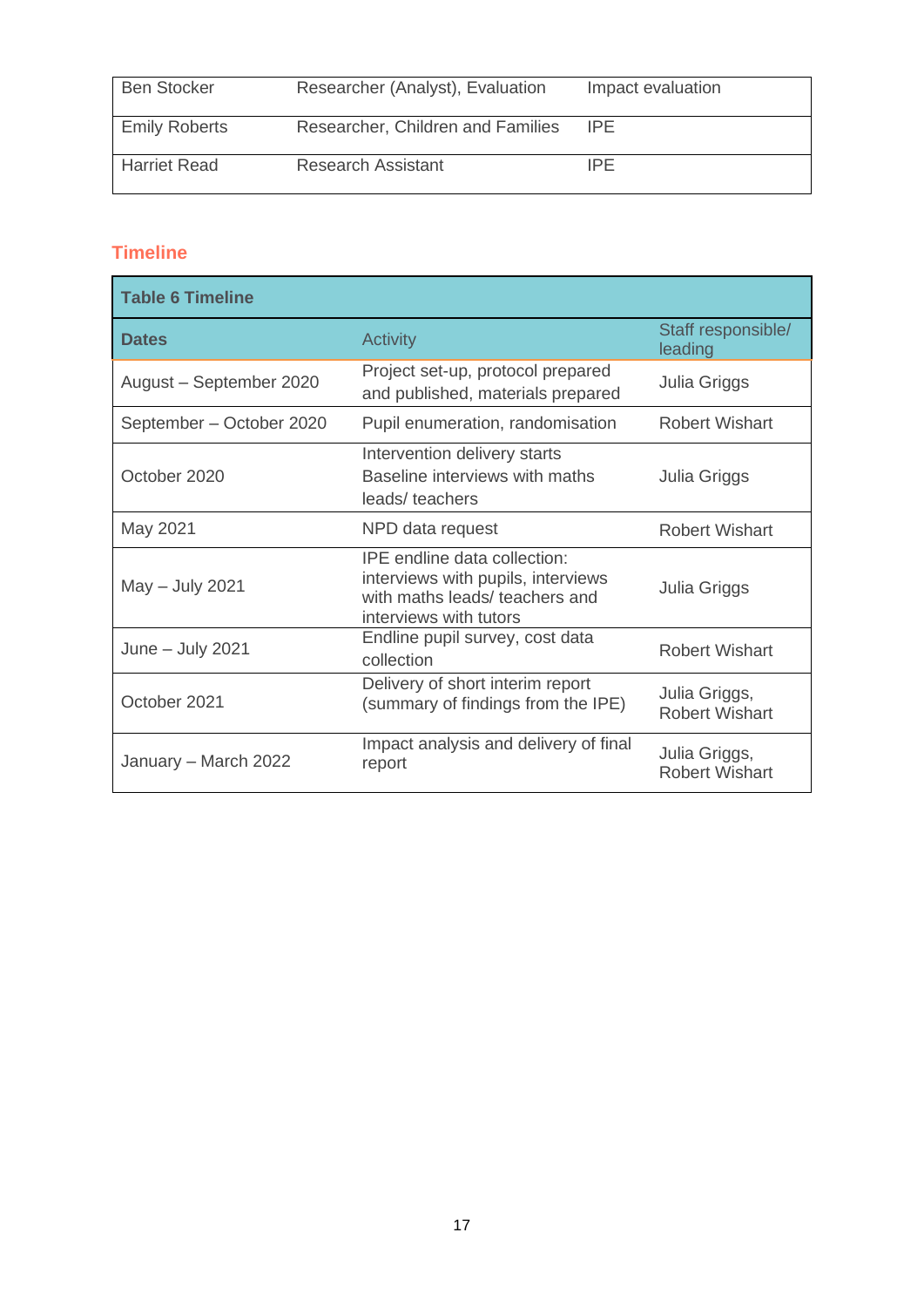| <b>Ben Stocker</b>   | Researcher (Analyst), Evaluation  | Impact evaluation |
|----------------------|-----------------------------------|-------------------|
| <b>Emily Roberts</b> | Researcher, Children and Families | <b>IPE</b>        |
| <b>Harriet Read</b>  | <b>Research Assistant</b>         | IPF               |

# <span id="page-22-0"></span>**Timeline**

| <b>Table 6 Timeline</b>  |                                                                                                                                |                                        |  |
|--------------------------|--------------------------------------------------------------------------------------------------------------------------------|----------------------------------------|--|
| <b>Dates</b>             | <b>Activity</b>                                                                                                                | Staff responsible/<br>leading          |  |
| August - September 2020  | Project set-up, protocol prepared<br>and published, materials prepared                                                         | Julia Griggs                           |  |
| September - October 2020 | Pupil enumeration, randomisation                                                                                               | Robert Wishart                         |  |
| October 2020             | Intervention delivery starts<br>Baseline interviews with maths<br>leads/teachers                                               | Julia Griggs                           |  |
| May 2021                 | NPD data request                                                                                                               | <b>Robert Wishart</b>                  |  |
| May - July 2021          | IPE endline data collection:<br>interviews with pupils, interviews<br>with maths leads/ teachers and<br>interviews with tutors | Julia Griggs                           |  |
| June $-$ July 2021       | Endline pupil survey, cost data<br>collection                                                                                  | <b>Robert Wishart</b>                  |  |
| October 2021             | Delivery of short interim report<br>(summary of findings from the IPE)                                                         | Julia Griggs,<br><b>Robert Wishart</b> |  |
| January – March 2022     | Impact analysis and delivery of final<br>report                                                                                | Julia Griggs,<br><b>Robert Wishart</b> |  |